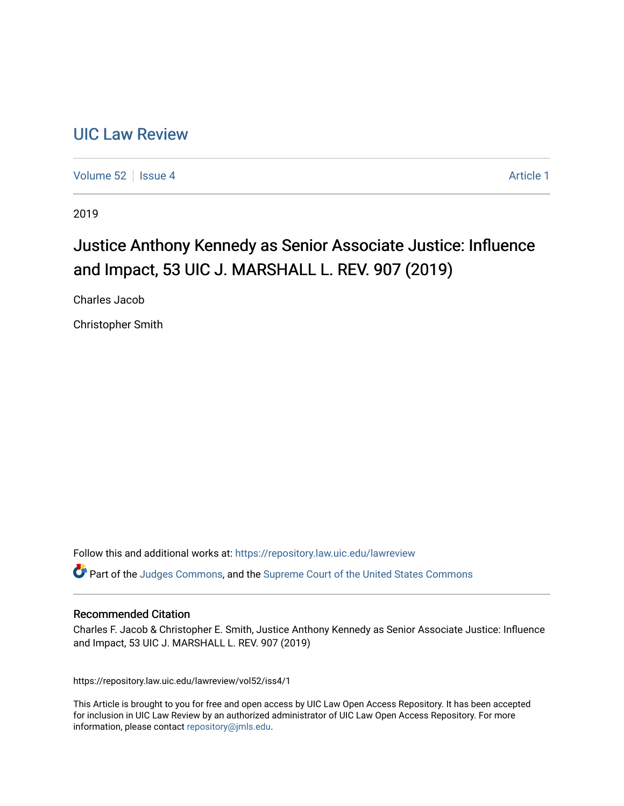# [UIC Law Review](https://repository.law.uic.edu/lawreview)

[Volume 52](https://repository.law.uic.edu/lawreview/vol52) Setsue 4 [Article 1](https://repository.law.uic.edu/lawreview/vol52/iss4/1) Article 1 Article 1 Article 1 Article 1 Article 1 Article 1

2019

# Justice Anthony Kennedy as Senior Associate Justice: Influence and Impact, 53 UIC J. MARSHALL L. REV. 907 (2019)

Charles Jacob

Christopher Smith

Follow this and additional works at: [https://repository.law.uic.edu/lawreview](https://repository.law.uic.edu/lawreview?utm_source=repository.law.uic.edu%2Flawreview%2Fvol52%2Fiss4%2F1&utm_medium=PDF&utm_campaign=PDFCoverPages) 

Part of the [Judges Commons,](http://network.bepress.com/hgg/discipline/849?utm_source=repository.law.uic.edu%2Flawreview%2Fvol52%2Fiss4%2F1&utm_medium=PDF&utm_campaign=PDFCoverPages) and the [Supreme Court of the United States Commons](http://network.bepress.com/hgg/discipline/1350?utm_source=repository.law.uic.edu%2Flawreview%2Fvol52%2Fiss4%2F1&utm_medium=PDF&utm_campaign=PDFCoverPages)

#### Recommended Citation

Charles F. Jacob & Christopher E. Smith, Justice Anthony Kennedy as Senior Associate Justice: Influence and Impact, 53 UIC J. MARSHALL L. REV. 907 (2019)

https://repository.law.uic.edu/lawreview/vol52/iss4/1

This Article is brought to you for free and open access by UIC Law Open Access Repository. It has been accepted for inclusion in UIC Law Review by an authorized administrator of UIC Law Open Access Repository. For more information, please contact [repository@jmls.edu.](mailto:repository@jmls.edu)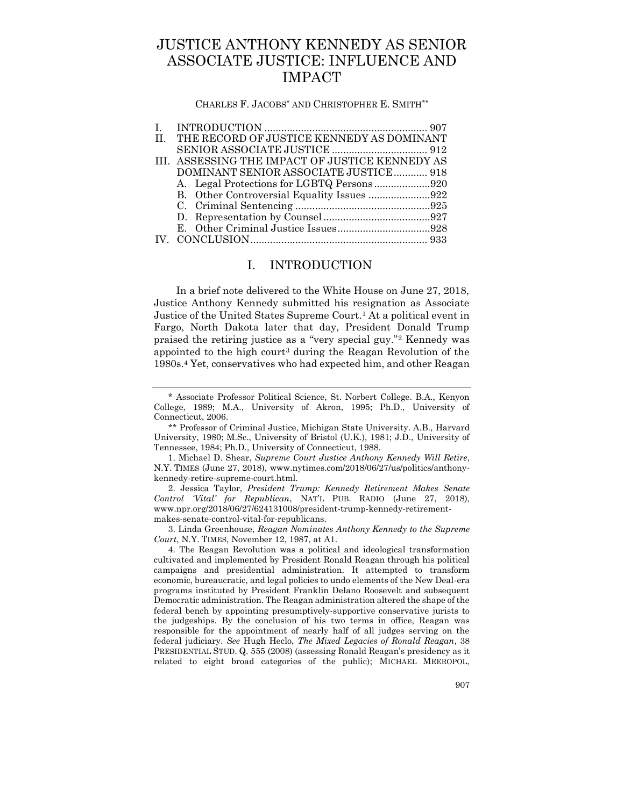# JUSTICE ANTHONY KENNEDY AS SENIOR ASSOCIATE JUSTICE: INFLUENCE AND IMPACT

CHARLES F. JACOBS\* AND CHRISTOPHER E. SMITH\*\*

| II. THE RECORD OF JUSTICE KENNEDY AS DOMINANT   |  |
|-------------------------------------------------|--|
|                                                 |  |
| III. ASSESSING THE IMPACT OF JUSTICE KENNEDY AS |  |
| DOMINANT SENIOR ASSOCIATE JUSTICE 918           |  |
|                                                 |  |
|                                                 |  |
|                                                 |  |
|                                                 |  |
|                                                 |  |
|                                                 |  |
|                                                 |  |

# I. INTRODUCTION

<span id="page-1-0"></span>In a brief note delivered to the White House on June 27, 2018, Justice Anthony Kennedy submitted his resignation as Associate Justice of the United States Supreme Court.<sup>1</sup> At a political event in Fargo, North Dakota later that day, President Donald Trump praised the retiring justice as a "very special guy."<sup>2</sup> Kennedy was appointed to the high court<sup>3</sup> during the Reagan Revolution of the 1980s.<sup>4</sup> Yet, conservatives who had expected him, and other Reagan

3. Linda Greenhouse, *Reagan Nominates Anthony Kennedy to the Supreme Court*, N.Y. TIMES, November 12, 1987, at A1.

<sup>\*</sup> Associate Professor Political Science, St. Norbert College. B.A., Kenyon College, 1989; M.A., University of Akron, 1995; Ph.D., University of Connecticut, 2006.

<sup>\*\*</sup> Professor of Criminal Justice, Michigan State University. A.B., Harvard University, 1980; M.Sc., University of Bristol (U.K.), 1981; J.D., University of Tennessee, 1984; Ph.D., University of Connecticut, 1988.

<sup>1.</sup> Michael D. Shear, *Supreme Court Justice Anthony Kennedy Will Retire*, N.Y. TIMES (June 27, 2018), www.nytimes.com/2018/06/27/us/politics/anthonykennedy-retire-supreme-court.html.

<sup>2.</sup> Jessica Taylor, *President Trump: Kennedy Retirement Makes Senate Control 'Vital' for Republican*, NAT'L PUB. RADIO (June 27, 2018), www.npr.org/2018/06/27/624131008/president-trump-kennedy-retirementmakes-senate-control-vital-for-republicans.

<sup>4.</sup> The Reagan Revolution was a political and ideological transformation cultivated and implemented by President Ronald Reagan through his political campaigns and presidential administration. It attempted to transform economic, bureaucratic, and legal policies to undo elements of the New Deal-era programs instituted by President Franklin Delano Roosevelt and subsequent Democratic administration. The Reagan administration altered the shape of the federal bench by appointing presumptively-supportive conservative jurists to the judgeships. By the conclusion of his two terms in office, Reagan was responsible for the appointment of nearly half of all judges serving on the federal judiciary. *See* Hugh Heclo, *The Mixed Legacies of Ronald Reagan*, 38 PRESIDENTIAL STUD. Q. 555 (2008) (assessing Ronald Reagan's presidency as it related to eight broad categories of the public); MICHAEL MEEROPOL,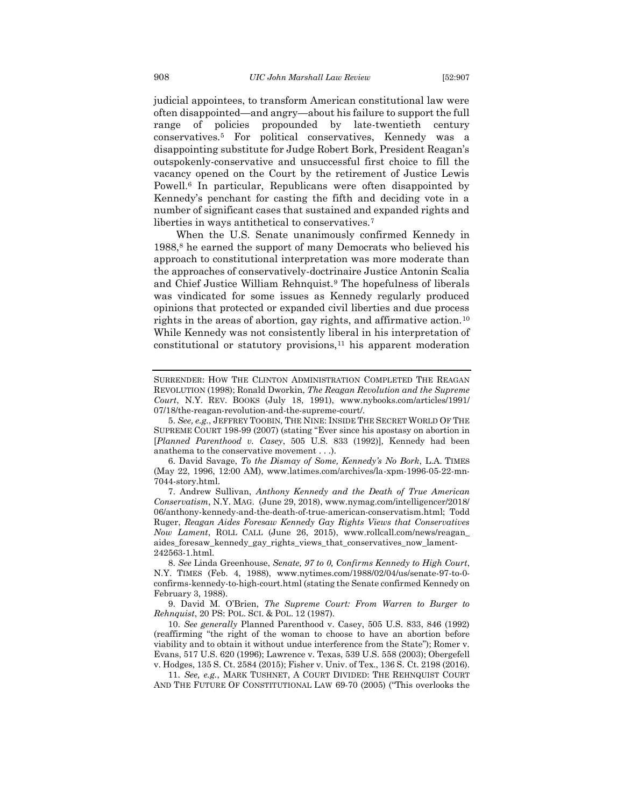judicial appointees, to transform American constitutional law were often disappointed—and angry—about his failure to support the full range of policies propounded by late-twentieth century conservatives.<sup>5</sup> For political conservatives, Kennedy was a disappointing substitute for Judge Robert Bork, President Reagan's outspokenly-conservative and unsuccessful first choice to fill the vacancy opened on the Court by the retirement of Justice Lewis Powell.<sup>6</sup> In particular, Republicans were often disappointed by Kennedy's penchant for casting the fifth and deciding vote in a number of significant cases that sustained and expanded rights and liberties in ways antithetical to conservatives.<sup>7</sup>

When the U.S. Senate unanimously confirmed Kennedy in 1988,<sup>8</sup> he earned the support of many Democrats who believed his approach to constitutional interpretation was more moderate than the approaches of conservatively-doctrinaire Justice Antonin Scalia and Chief Justice William Rehnquist.<sup>9</sup> The hopefulness of liberals was vindicated for some issues as Kennedy regularly produced opinions that protected or expanded civil liberties and due process rights in the areas of abortion, gay rights, and affirmative action.<sup>10</sup> While Kennedy was not consistently liberal in his interpretation of constitutional or statutory provisions,<sup>11</sup> his apparent moderation

<span id="page-2-0"></span>SURRENDER: HOW THE CLINTON ADMINISTRATION COMPLETED THE REAGAN REVOLUTION (1998); Ronald Dworkin, *The Reagan Revolution and the Supreme Court*, N.Y. REV. BOOKS (July 18, 1991), www.nybooks.com/articles/1991/ 07/18/the-reagan-revolution-and-the-supreme-court/.

<sup>5.</sup> *See, e.g.*, JEFFREY TOOBIN, THE NINE: INSIDE THE SECRET WORLD OF THE SUPREME COURT 198-99 (2007) (stating "Ever since his apostasy on abortion in [*Planned Parenthood v. Casey*, 505 U.S. 833 (1992)], Kennedy had been anathema to the conservative movement . . .).

<sup>6.</sup> David Savage, *To the Dismay of Some, Kennedy's No Bork*, L.A. TIMES (May 22, 1996, 12:00 AM), www.latimes.com/archives/la-xpm-1996-05-22-mn-7044-story.html.

<sup>7.</sup> Andrew Sullivan, *Anthony Kennedy and the Death of True American Conservatism*, N.Y. MAG. (June 29, 2018), www.nymag.com/intelligencer/2018/ 06/anthony-kennedy-and-the-death-of-true-american-conservatism.html; Todd Ruger, *Reagan Aides Foresaw Kennedy Gay Rights Views that Conservatives Now Lament*, ROLL CALL (June 26, 2015), www.rollcall.com/news/reagan\_ aides\_foresaw\_kennedy\_gay\_rights\_views\_that\_conservatives\_now\_lament-242563-1.html.

<sup>8.</sup> *See* Linda Greenhouse, *Senate, 97 to 0, Confirms Kennedy to High Court*, N.Y. TIMES (Feb. 4, 1988), www.nytimes.com/1988/02/04/us/senate-97-to-0 confirms-kennedy-to-high-court.html (stating the Senate confirmed Kennedy on February 3, 1988).

<sup>9.</sup> David M. O'Brien, *The Supreme Court: From Warren to Burger to Rehnquist*, 20 PS: POL. SCI. & POL. 12 (1987).

<sup>10.</sup> *See generally* Planned Parenthood v. Casey, 505 U.S. 833, 846 (1992) (reaffirming "the right of the woman to choose to have an abortion before viability and to obtain it without undue interference from the State"); Romer v. Evans, 517 U.S. 620 (1996); Lawrence v. Texas, 539 U.S. 558 (2003); Obergefell v. Hodges, 135 S. Ct. 2584 (2015); Fisher v. Univ. of Tex., 136 S. Ct. 2198 (2016).

<sup>11.</sup> *See, e.g.*, MARK TUSHNET, A COURT DIVIDED: THE REHNQUIST COURT AND THE FUTURE OF CONSTITUTIONAL LAW 69-70 (2005) ("This overlooks the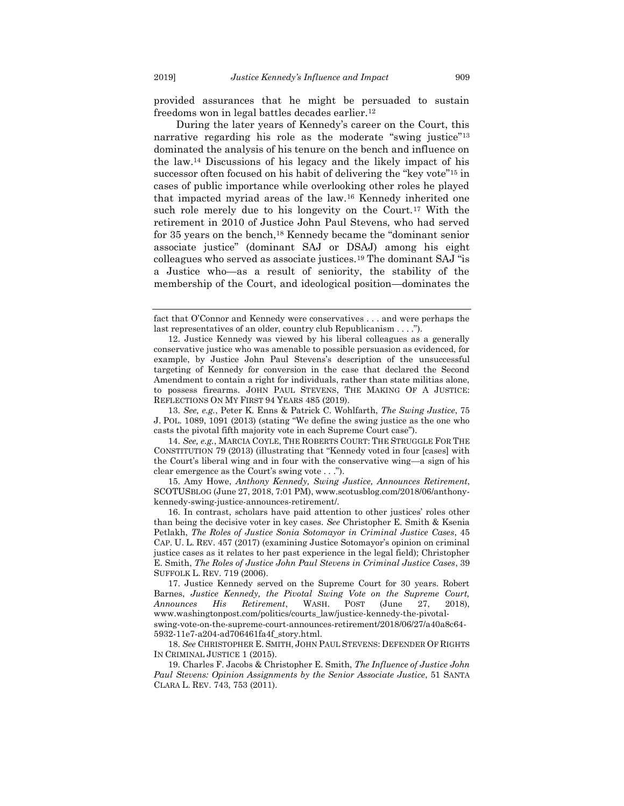<span id="page-3-3"></span>provided assurances that he might be persuaded to sustain freedoms won in legal battles decades earlier.<sup>12</sup>

<span id="page-3-4"></span><span id="page-3-2"></span><span id="page-3-1"></span>During the later years of Kennedy's career on the Court, this narrative regarding his role as the moderate "swing justice"<sup>13</sup> dominated the analysis of his tenure on the bench and influence on the law.<sup>14</sup> Discussions of his legacy and the likely impact of his successor often focused on his habit of delivering the "key vote"<sup>15</sup> in cases of public importance while overlooking other roles he played that impacted myriad areas of the law.<sup>16</sup> Kennedy inherited one such role merely due to his longevity on the Court.<sup>17</sup> With the retirement in 2010 of Justice John Paul Stevens, who had served for 35 years on the bench,<sup>18</sup> Kennedy became the "dominant senior associate justice" (dominant SAJ or DSAJ) among his eight colleagues who served as associate justices.<sup>19</sup> The dominant SAJ "is a Justice who—as a result of seniority, the stability of the membership of the Court, and ideological position—dominates the

13. *See, e.g.*, Peter K. Enns & Patrick C. Wohlfarth, *The Swing Justice*, 75 J. POL. 1089, 1091 (2013) (stating "We define the swing justice as the one who casts the pivotal fifth majority vote in each Supreme Court case").

15. Amy Howe, *Anthony Kennedy, Swing Justice, Announces Retirement*, SCOTUSBLOG (June 27, 2018, 7:01 PM), www.scotusblog.com/2018/06/anthonykennedy-swing-justice-announces-retirement/.

16. In contrast, scholars have paid attention to other justices' roles other than being the decisive voter in key cases. *See* Christopher E. Smith & Ksenia Petlakh, *The Roles of Justice Sonia Sotomayor in Criminal Justice Cases*, 45 CAP. U. L. REV. 457 (2017) (examining Justice Sotomayor's opinion on criminal justice cases as it relates to her past experience in the legal field); Christopher E. Smith, *The Roles of Justice John Paul Stevens in Criminal Justice Cases*, 39 SUFFOLK L. REV. 719 (2006).

<span id="page-3-5"></span><span id="page-3-0"></span>fact that O'Connor and Kennedy were conservatives . . . and were perhaps the last representatives of an older, country club Republicanism . . . .").

<sup>12.</sup> Justice Kennedy was viewed by his liberal colleagues as a generally conservative justice who was amenable to possible persuasion as evidenced, for example, by Justice John Paul Stevens's description of the unsuccessful targeting of Kennedy for conversion in the case that declared the Second Amendment to contain a right for individuals, rather than state militias alone, to possess firearms. JOHN PAUL STEVENS, THE MAKING OF A JUSTICE: REFLECTIONS ON MY FIRST 94 YEARS 485 (2019).

<sup>14.</sup> *See, e.g.*, MARCIA COYLE, THE ROBERTS COURT: THE STRUGGLE FOR THE CONSTITUTION 79 (2013) (illustrating that "Kennedy voted in four [cases] with the Court's liberal wing and in four with the conservative wing—a sign of his clear emergence as the Court's swing vote . . .").

<sup>17.</sup> Justice Kennedy served on the Supreme Court for 30 years. Robert Barnes, *Justice Kennedy, the Pivotal Swing Vote on the Supreme Court, Announces His Retirement*, WASH. POST (June 27, 2018), www.washingtonpost.com/politics/courts\_law/justice-kennedy-the-pivotalswing-vote-on-the-supreme-court-announces-retirement/2018/06/27/a40a8c64- 5932-11e7-a204-ad706461fa4f\_story.html.

<sup>18.</sup> *See* CHRISTOPHER E. SMITH, JOHN PAUL STEVENS: DEFENDER OF RIGHTS IN CRIMINAL JUSTICE 1 (2015).

<sup>19.</sup> Charles F. Jacobs & Christopher E. Smith, *The Influence of Justice John Paul Stevens: Opinion Assignments by the Senior Associate Justice*, 51 SANTA CLARA L. REV. 743, 753 (2011).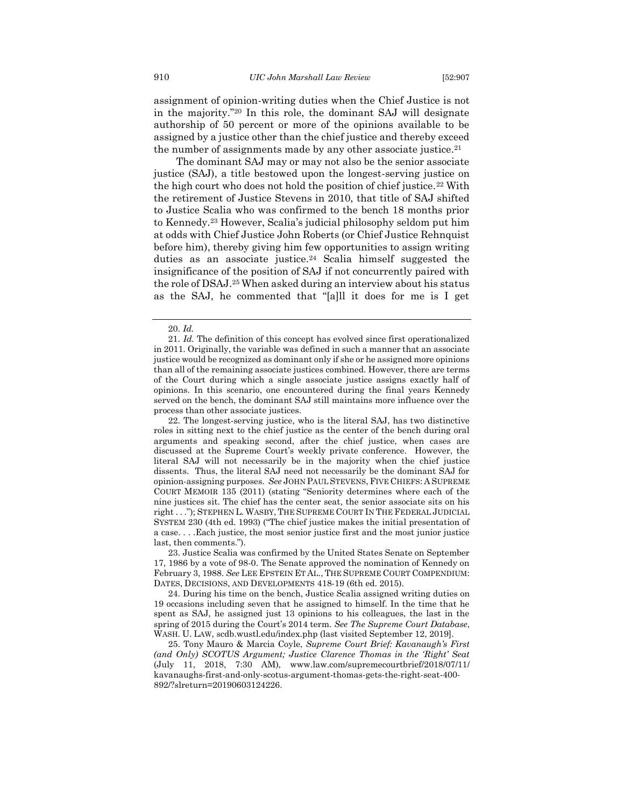assignment of opinion-writing duties when the Chief Justice is not in the majority."<sup>20</sup> In this role, the dominant SAJ will designate authorship of 50 percent or more of the opinions available to be assigned by a justice other than the chief justice and thereby exceed the number of assignments made by any other associate justice.<sup>21</sup>

<span id="page-4-0"></span>The dominant SAJ may or may not also be the senior associate justice (SAJ), a title bestowed upon the longest-serving justice on the high court who does not hold the position of chief justice.<sup>22</sup> With the retirement of Justice Stevens in 2010, that title of SAJ shifted to Justice Scalia who was confirmed to the bench 18 months prior to Kennedy.<sup>23</sup> However, Scalia's judicial philosophy seldom put him at odds with Chief Justice John Roberts (or Chief Justice Rehnquist before him), thereby giving him few opportunities to assign writing duties as an associate justice.<sup>24</sup> Scalia himself suggested the insignificance of the position of SAJ if not concurrently paired with the role of DSAJ.<sup>25</sup> When asked during an interview about his status as the SAJ, he commented that "[a]ll it does for me is I get

23. Justice Scalia was confirmed by the United States Senate on September 17, 1986 by a vote of 98-0. The Senate approved the nomination of Kennedy on February 3, 1988. *See* LEE EPSTEIN ET AL., THE SUPREME COURT COMPENDIUM: DATES, DECISIONS, AND DEVELOPMENTS 418-19 (6th ed. 2015).

24. During his time on the bench, Justice Scalia assigned writing duties on 19 occasions including seven that he assigned to himself. In the time that he spent as SAJ, he assigned just 13 opinions to his colleagues, the last in the spring of 2015 during the Court's 2014 term. *See The Supreme Court Database*, WASH. U. LAW, scdb.wustl.edu/index.php (last visited September 12, 2019].

25. Tony Mauro & Marcia Coyle, *Supreme Court Brief: Kavanaugh's First (and Only) SCOTUS Argument; Justice Clarence Thomas in the 'Right' Seat* (July 11, 2018, 7:30 AM), www.law.com/supremecourtbrief/2018/07/11/ kavanaughs-first-and-only-scotus-argument-thomas-gets-the-right-seat-400- 892/?slreturn=20190603124226.

<span id="page-4-1"></span><sup>20.</sup> *Id.*

<sup>21.</sup> *Id.* The definition of this concept has evolved since first operationalized in 2011. Originally, the variable was defined in such a manner that an associate justice would be recognized as dominant only if she or he assigned more opinions than all of the remaining associate justices combined. However, there are terms of the Court during which a single associate justice assigns exactly half of opinions. In this scenario, one encountered during the final years Kennedy served on the bench, the dominant SAJ still maintains more influence over the process than other associate justices.

<sup>22.</sup> The longest-serving justice, who is the literal SAJ, has two distinctive roles in sitting next to the chief justice as the center of the bench during oral arguments and speaking second, after the chief justice, when cases are discussed at the Supreme Court's weekly private conference. However, the literal SAJ will not necessarily be in the majority when the chief justice dissents. Thus, the literal SAJ need not necessarily be the dominant SAJ for opinion-assigning purposes. *See* JOHN PAUL STEVENS, FIVE CHIEFS: A SUPREME COURT MEMOIR 135 (2011) (stating "Seniority determines where each of the nine justices sit. The chief has the center seat, the senior associate sits on his right . . ."); STEPHEN L. WASBY, THE SUPREME COURT IN THE FEDERAL JUDICIAL SYSTEM 230 (4th ed. 1993) ("The chief justice makes the initial presentation of a case. . . .Each justice, the most senior justice first and the most junior justice last, then comments.").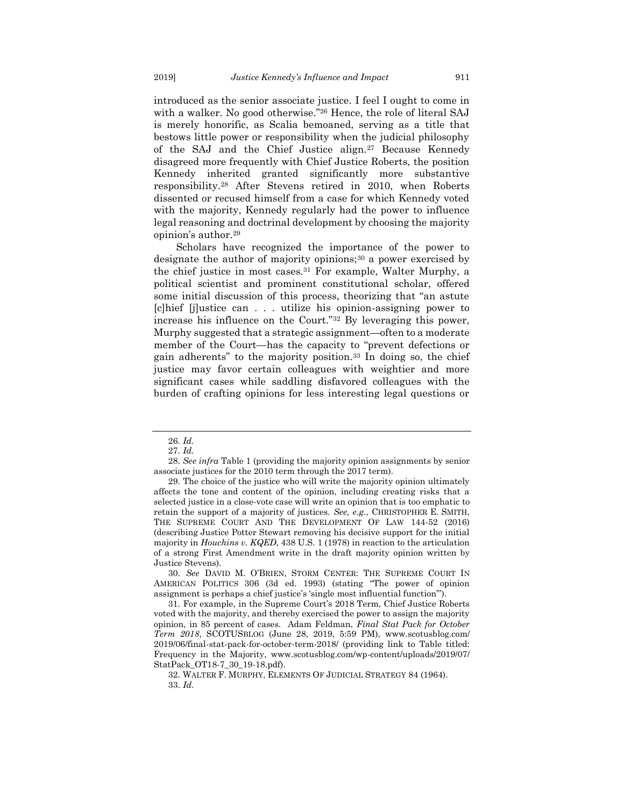introduced as the senior associate justice. I feel I ought to come in with a walker. No good otherwise."<sup>26</sup> Hence, the role of literal SAJ is merely honorific, as Scalia bemoaned, serving as a title that bestows little power or responsibility when the judicial philosophy of the SAJ and the Chief Justice align.<sup>27</sup> Because Kennedy disagreed more frequently with Chief Justice Roberts, the position Kennedy inherited granted significantly more substantive responsibility.<sup>28</sup> After Stevens retired in 2010, when Roberts dissented or recused himself from a case for which Kennedy voted with the majority, Kennedy regularly had the power to influence legal reasoning and doctrinal development by choosing the majority opinion's author.<sup>29</sup>

<span id="page-5-1"></span><span id="page-5-0"></span>Scholars have recognized the importance of the power to designate the author of majority opinions;<sup>30</sup> a power exercised by the chief justice in most cases.<sup>31</sup> For example, Walter Murphy, a political scientist and prominent constitutional scholar, offered some initial discussion of this process, theorizing that "an astute [c]hief [j]ustice can . . . utilize his opinion-assigning power to increase his influence on the Court."<sup>32</sup> By leveraging this power, Murphy suggested that a strategic assignment—often to a moderate member of the Court—has the capacity to "prevent defections or gain adherents" to the majority position.<sup>33</sup> In doing so, the chief justice may favor certain colleagues with weightier and more significant cases while saddling disfavored colleagues with the burden of crafting opinions for less interesting legal questions or

<sup>26.</sup> *Id.*

<sup>27.</sup> *Id.*

<sup>28.</sup> *See infra* Table 1 (providing the majority opinion assignments by senior associate justices for the 2010 term through the 2017 term).

<sup>29.</sup> The choice of the justice who will write the majority opinion ultimately affects the tone and content of the opinion, including creating risks that a selected justice in a close-vote case will write an opinion that is too emphatic to retain the support of a majority of justices. *See, e.g.*, CHRISTOPHER E. SMITH, THE SUPREME COURT AND THE DEVELOPMENT OF LAW 144-52 (2016) (describing Justice Potter Stewart removing his decisive support for the initial majority in *Houchins v. KQED*, 438 U.S. 1 (1978) in reaction to the articulation of a strong First Amendment write in the draft majority opinion written by Justice Stevens).

<sup>30.</sup> *See* DAVID M. O'BRIEN, STORM CENTER: THE SUPREME COURT IN AMERICAN POLITICS 306 (3d ed. 1993) (stating "The power of opinion assignment is perhaps a chief justice's 'single most influential function'").

<sup>31.</sup> For example, in the Supreme Court's 2018 Term, Chief Justice Roberts voted with the majority, and thereby exercised the power to assign the majority opinion, in 85 percent of cases. Adam Feldman, *Final Stat Pack for October Term 2018*, SCOTUSBLOG (June 28, 2019, 5:59 PM), www.scotusblog.com/ 2019/06/final-stat-pack-for-october-term-2018/ (providing link to Table titled: Frequency in the Majority, www.scotusblog.com/wp-content/uploads/2019/07/ StatPack\_OT18-7\_30\_19-18.pdf).

<sup>32.</sup> WALTER F. MURPHY, ELEMENTS OF JUDICIAL STRATEGY 84 (1964). 33. *Id.*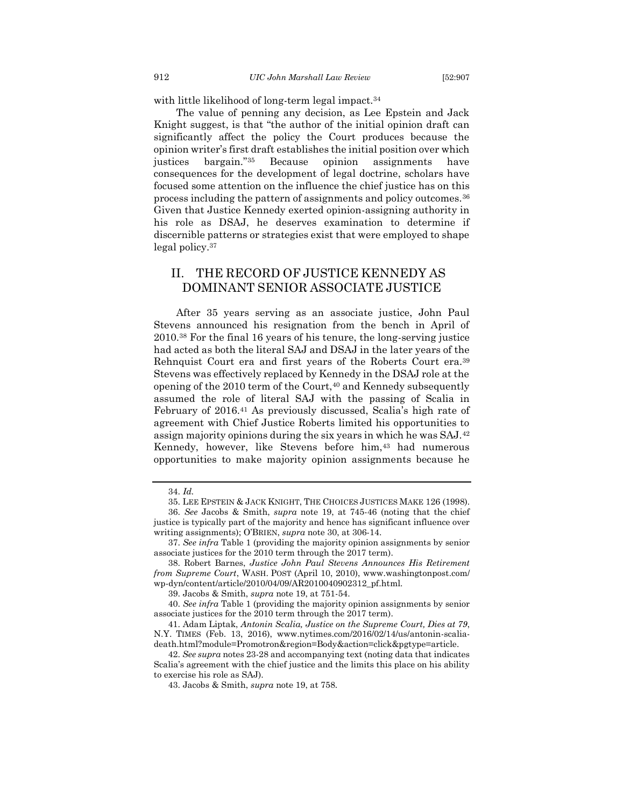with little likelihood of long-term legal impact.<sup>34</sup>

The value of penning any decision, as Lee Epstein and Jack Knight suggest, is that "the author of the initial opinion draft can significantly affect the policy the Court produces because the opinion writer's first draft establishes the initial position over which justices bargain."<sup>35</sup> Because opinion assignments have consequences for the development of legal doctrine, scholars have focused some attention on the influence the chief justice has on this process including the pattern of assignments and policy outcomes.<sup>36</sup> Given that Justice Kennedy exerted opinion-assigning authority in his role as DSAJ, he deserves examination to determine if discernible patterns or strategies exist that were employed to shape legal policy.<sup>37</sup>

# <span id="page-6-0"></span>II. THE RECORD OF JUSTICE KENNEDY AS DOMINANT SENIOR ASSOCIATE JUSTICE

<span id="page-6-1"></span>After 35 years serving as an associate justice, John Paul Stevens announced his resignation from the bench in April of 2010.<sup>38</sup> For the final 16 years of his tenure, the long-serving justice had acted as both the literal SAJ and DSAJ in the later years of the Rehnquist Court era and first years of the Roberts Court era.<sup>39</sup> Stevens was effectively replaced by Kennedy in the DSAJ role at the opening of the 2010 term of the Court,<sup>40</sup> and Kennedy subsequently assumed the role of literal SAJ with the passing of Scalia in February of 2016.<sup>41</sup> As previously discussed, Scalia's high rate of agreement with Chief Justice Roberts limited his opportunities to assign majority opinions during the six years in which he was SAJ.<sup>42</sup> Kennedy, however, like Stevens before him,<sup>43</sup> had numerous opportunities to make majority opinion assignments because he

<span id="page-6-2"></span><sup>34.</sup> *Id.*

<sup>35.</sup> LEE EPSTEIN & JACK KNIGHT, THE CHOICES JUSTICES MAKE 126 (1998).

<sup>36.</sup> *See* Jacobs & Smith, *supra* note [19,](#page-3-0) at 745-46 (noting that the chief justice is typically part of the majority and hence has significant influence over writing assignments); O'BRIEN, *supra* note [30,](#page-5-0) at 306-14.

<sup>37.</sup> *See infra* Table 1 (providing the majority opinion assignments by senior associate justices for the 2010 term through the 2017 term).

<sup>38.</sup> Robert Barnes, *Justice John Paul Stevens Announces His Retirement from Supreme Court*, WASH. POST (April 10, 2010), www.washingtonpost.com/ wp-dyn/content/article/2010/04/09/AR2010040902312\_pf.html.

<sup>39.</sup> Jacobs & Smith, *supra* note [19,](#page-3-0) at 751-54.

<sup>40.</sup> *See infra* Table 1 (providing the majority opinion assignments by senior associate justices for the 2010 term through the 2017 term).

<sup>41.</sup> Adam Liptak, *Antonin Scalia, Justice on the Supreme Court, Dies at 79*, N.Y. TIMES (Feb. 13, 2016), www.nytimes.com/2016/02/14/us/antonin-scaliadeath.html?module=Promotron&region=Body&action=click&pgtype=article.

<sup>42.</sup> *See supra* note[s 23](#page-4-0)[-28](#page-5-1) and accompanying text (noting data that indicates Scalia's agreement with the chief justice and the limits this place on his ability to exercise his role as SAJ).

<sup>43.</sup> Jacobs & Smith, *supra* note [19,](#page-3-0) at 758.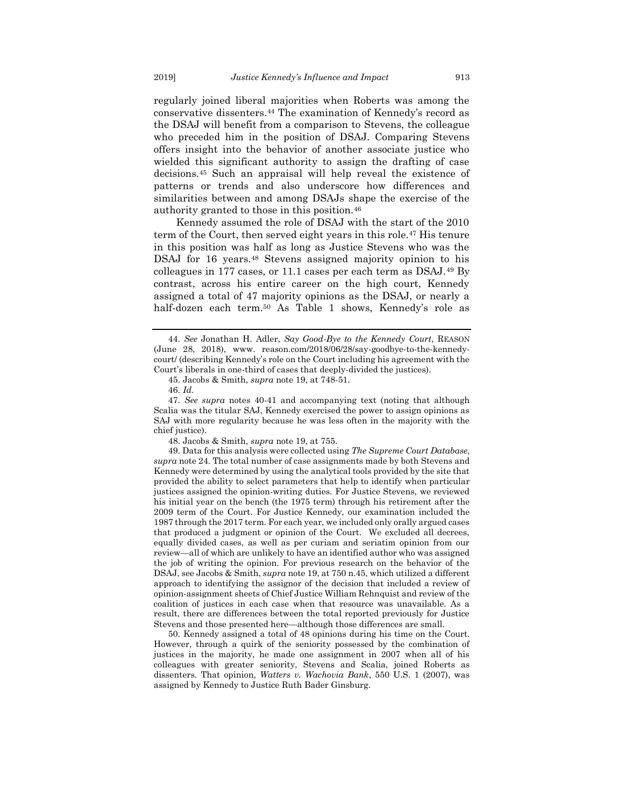regularly joined liberal majorities when Roberts was among the conservative dissenters.<sup>44</sup> The examination of Kennedy's record as the DSAJ will benefit from a comparison to Stevens, the colleague who preceded him in the position of DSAJ. Comparing Stevens offers insight into the behavior of another associate justice who wielded this significant authority to assign the drafting of case decisions.<sup>45</sup> Such an appraisal will help reveal the existence of patterns or trends and also underscore how differences and similarities between and among DSAJs shape the exercise of the authority granted to those in this position.<sup>46</sup>

Kennedy assumed the role of DSAJ with the start of the 2010 term of the Court, then served eight years in this role.<sup>47</sup> His tenure in this position was half as long as Justice Stevens who was the DSAJ for 16 years.<sup>48</sup> Stevens assigned majority opinion to his colleagues in 177 cases, or 11.1 cases per each term as DSAJ.<sup>49</sup> By contrast, across his entire career on the high court, Kennedy assigned a total of 47 majority opinions as the DSAJ, or nearly a half-dozen each term.<sup>50</sup> As Table 1 shows, Kennedy's role as

47. *See supra* notes [40](#page-6-1)[-41](#page-6-2) and accompanying text (noting that although Scalia was the titular SAJ, Kennedy exercised the power to assign opinions as SAJ with more regularity because he was less often in the majority with the chief justice).

48. Jacobs & Smith, *supra* note [19,](#page-3-0) at 755.

49. Data for this analysis were collected using *The Supreme Court Database*, *supra* note [24.](#page-4-1) The total number of case assignments made by both Stevens and Kennedy were determined by using the analytical tools provided by the site that provided the ability to select parameters that help to identify when particular justices assigned the opinion-writing duties. For Justice Stevens, we reviewed his initial year on the bench (the 1975 term) through his retirement after the 2009 term of the Court. For Justice Kennedy, our examination included the 1987 through the 2017 term. For each year, we included only orally argued cases that produced a judgment or opinion of the Court. We excluded all decrees, equally divided cases, as well as per curiam and seriatim opinion from our review—all of which are unlikely to have an identified author who was assigned the job of writing the opinion. For previous research on the behavior of the DSAJ, see Jacobs & Smith, *supra* not[e 19,](#page-3-0) at 750 n.45, which utilized a different approach to identifying the assignor of the decision that included a review of opinion-assignment sheets of Chief Justice William Rehnquist and review of the coalition of justices in each case when that resource was unavailable. As a result, there are differences between the total reported previously for Justice Stevens and those presented here—although those differences are small.

50. Kennedy assigned a total of 48 opinions during his time on the Court. However, through a quirk of the seniority possessed by the combination of justices in the majority, he made one assignment in 2007 when all of his colleagues with greater seniority, Stevens and Scalia, joined Roberts as dissenters. That opinion, *Watters v. Wachovia Bank*, 550 U.S. 1 (2007), was assigned by Kennedy to Justice Ruth Bader Ginsburg.

<sup>44.</sup> *See* Jonathan H. Adler, *Say Good-Bye to the Kennedy Court*, REASON (June 28, 2018), www. reason.com/2018/06/28/say-goodbye-to-the-kennedycourt/ (describing Kennedy's role on the Court including his agreement with the Court's liberals in one-third of cases that deeply-divided the justices).

<sup>45.</sup> Jacobs & Smith, *supra* note [19,](#page-3-0) at 748-51.

<sup>46.</sup> *Id.*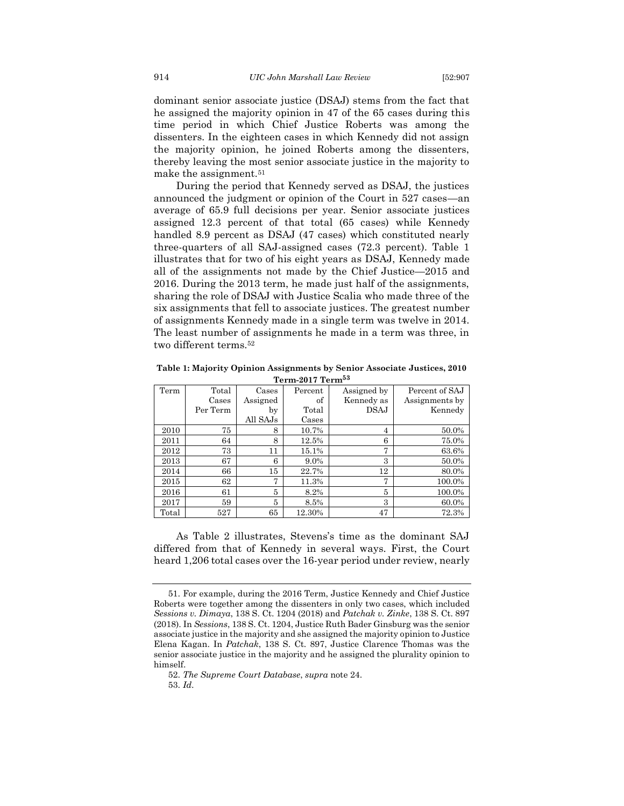dominant senior associate justice (DSAJ) stems from the fact that he assigned the majority opinion in 47 of the 65 cases during this time period in which Chief Justice Roberts was among the dissenters. In the eighteen cases in which Kennedy did not assign the majority opinion, he joined Roberts among the dissenters, thereby leaving the most senior associate justice in the majority to make the assignment.<sup>51</sup>

During the period that Kennedy served as DSAJ, the justices announced the judgment or opinion of the Court in 527 cases—an average of 65.9 full decisions per year. Senior associate justices assigned 12.3 percent of that total (65 cases) while Kennedy handled 8.9 percent as DSAJ (47 cases) which constituted nearly three-quarters of all SAJ-assigned cases (72.3 percent). Table 1 illustrates that for two of his eight years as DSAJ, Kennedy made all of the assignments not made by the Chief Justice—2015 and 2016. During the 2013 term, he made just half of the assignments, sharing the role of DSAJ with Justice Scalia who made three of the six assignments that fell to associate justices. The greatest number of assignments Kennedy made in a single term was twelve in 2014. The least number of assignments he made in a term was three, in two different terms.<sup>52</sup>

| Term-2017 Term <sup>53</sup> |          |          |         |             |                |  |  |  |
|------------------------------|----------|----------|---------|-------------|----------------|--|--|--|
| Term                         | Total    |          | Percent | Assigned by | Percent of SAJ |  |  |  |
|                              | Cases    | Assigned | of      | Kennedy as  | Assignments by |  |  |  |
|                              | Per Term | by       | Total   | <b>DSAJ</b> | Kennedy        |  |  |  |
|                              |          | All SAJs | Cases   |             |                |  |  |  |
| 2010                         | 75       | 8        | 10.7%   | 4           | 50.0%          |  |  |  |
| 2011                         | 64       | 8        | 12.5%   | 6           | 75.0%          |  |  |  |
| 2012                         | 73       | 11       | 15.1%   | 7           | 63.6%          |  |  |  |
| 2013                         | 67       | 6        | 9.0%    | 3           | 50.0%          |  |  |  |
| 2014                         | 66       | 15       | 22.7%   | 12          | 80.0%          |  |  |  |
| 2015                         | 62       | 7        | 11.3%   | 7           | 100.0%         |  |  |  |
| 2016                         | 61       | 5        | 8.2%    | 5           | 100.0%         |  |  |  |
| 2017                         | 59       | 5        | 8.5%    | 3           | 60.0%          |  |  |  |

**Table 1: Majority Opinion Assignments by Senior Associate Justices, 2010** 

As Table 2 illustrates, Stevens's time as the dominant SAJ differed from that of Kennedy in several ways. First, the Court heard 1,206 total cases over the 16-year period under review, nearly

Total 527 65 12.30% 47 72.3%

<sup>51.</sup> For example, during the 2016 Term, Justice Kennedy and Chief Justice Roberts were together among the dissenters in only two cases, which included *Sessions v. Dimaya*, 138 S. Ct. 1204 (2018) and *Patchak v. Zinke*, 138 S. Ct. 897 (2018). In *Sessions*, 138 S. Ct. 1204, Justice Ruth Bader Ginsburg was the senior associate justice in the majority and she assigned the majority opinion to Justice Elena Kagan. In *Patchak*, 138 S. Ct. 897, Justice Clarence Thomas was the senior associate justice in the majority and he assigned the plurality opinion to himself.

<sup>52.</sup> *The Supreme Court Database*, *supra* not[e 24.](#page-4-1)

<sup>53.</sup> *Id*.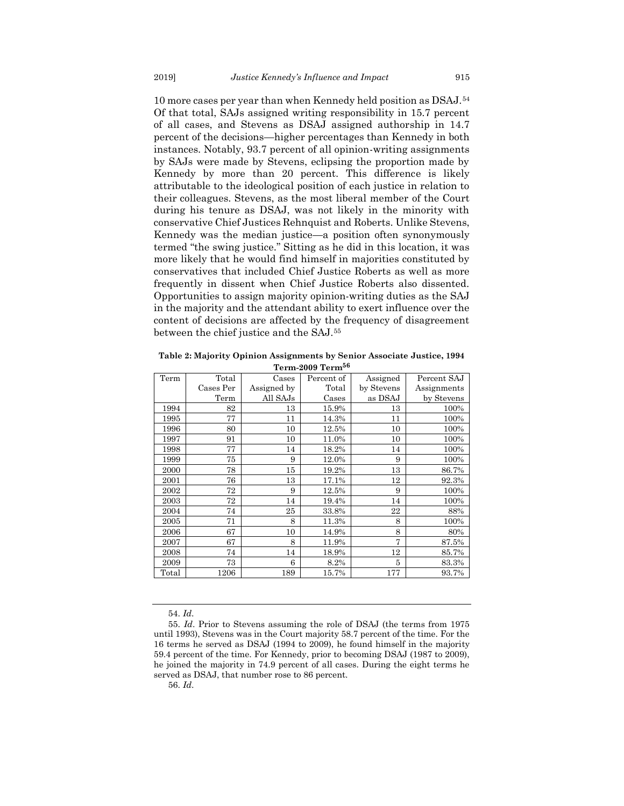10 more cases per year than when Kennedy held position as DSAJ.<sup>54</sup> Of that total, SAJs assigned writing responsibility in 15.7 percent of all cases, and Stevens as DSAJ assigned authorship in 14.7 percent of the decisions—higher percentages than Kennedy in both instances. Notably, 93.7 percent of all opinion-writing assignments by SAJs were made by Stevens, eclipsing the proportion made by Kennedy by more than 20 percent. This difference is likely attributable to the ideological position of each justice in relation to their colleagues. Stevens, as the most liberal member of the Court during his tenure as DSAJ, was not likely in the minority with conservative Chief Justices Rehnquist and Roberts. Unlike Stevens, Kennedy was the median justice—a position often synonymously termed "the swing justice." Sitting as he did in this location, it was more likely that he would find himself in majorities constituted by conservatives that included Chief Justice Roberts as well as more frequently in dissent when Chief Justice Roberts also dissented. Opportunities to assign majority opinion-writing duties as the SAJ in the majority and the attendant ability to exert influence over the content of decisions are affected by the frequency of disagreement between the chief justice and the SAJ.<sup>55</sup>

**Table 2: Majority Opinion Assignments by Senior Associate Justice, 1994 Term-2009 Term<sup>56</sup>**

| Term-2009 Term <sup>oo</sup> |           |             |            |            |             |  |  |  |
|------------------------------|-----------|-------------|------------|------------|-------------|--|--|--|
| Term                         | Total     | Cases       | Percent of | Assigned   | Percent SAJ |  |  |  |
|                              | Cases Per | Assigned by | Total      | by Stevens | Assignments |  |  |  |
|                              | Term      | All SAJs    | Cases      | as DSAJ    | by Stevens  |  |  |  |
| 1994                         | 82        | 13          | 15.9%      | 13         | 100%        |  |  |  |
| 1995                         | 77        | 11          | 14.3%      | 11         | 100%        |  |  |  |
| 1996                         | 80        | 10          | 12.5%      | 10         | 100%        |  |  |  |
| 1997                         | 91        | 10          | 11.0%      | 10         | 100%        |  |  |  |
| 1998                         | 77        | 14          | 18.2%      | 14         | 100%        |  |  |  |
| 1999                         | 75        | 9           | 12.0%      | 9          | 100%        |  |  |  |
| 2000                         | 78        | 15          | 19.2%      | 13         | 86.7%       |  |  |  |
| 2001                         | 76        | 13          | 17.1%      | 12         | 92.3%       |  |  |  |
| 2002                         | 72        | 9           | 12.5%      | 9          | 100%        |  |  |  |
| 2003                         | 72        | 14          | 19.4%      | 14         | 100%        |  |  |  |
| 2004                         | 74        | 25          | 33.8%      | 22         | 88%         |  |  |  |
| 2005                         | 71        | 8           | 11.3%      | 8          | 100%        |  |  |  |
| 2006                         | 67        | 10          | 14.9%      | 8          | 80%         |  |  |  |
| 2007                         | 67        | 8           | 11.9%      | 7          | 87.5%       |  |  |  |
| 2008                         | 74        | 14          | 18.9%      | 12         | 85.7%       |  |  |  |
| 2009                         | 73        | 6           | 8.2%       | 5          | 83.3%       |  |  |  |
| Total                        | 1206      | 189         | 15.7%      | 177        | 93.7%       |  |  |  |

<sup>54.</sup> *Id*.

56. *Id*.

<sup>55.</sup> *Id*. Prior to Stevens assuming the role of DSAJ (the terms from 1975 until 1993), Stevens was in the Court majority 58.7 percent of the time. For the 16 terms he served as DSAJ (1994 to 2009), he found himself in the majority 59.4 percent of the time. For Kennedy, prior to becoming DSAJ (1987 to 2009), he joined the majority in 74.9 percent of all cases. During the eight terms he served as DSAJ, that number rose to 86 percent.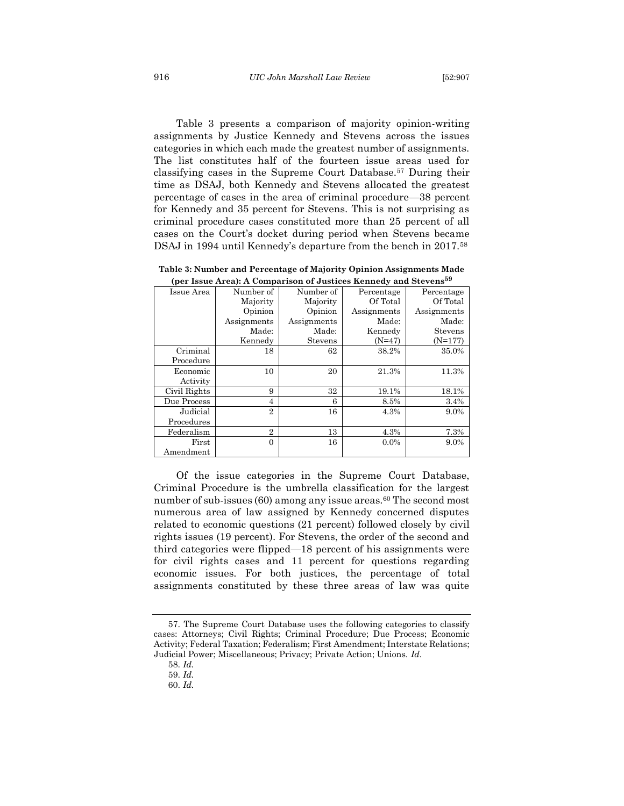Table 3 presents a comparison of majority opinion-writing assignments by Justice Kennedy and Stevens across the issues categories in which each made the greatest number of assignments. The list constitutes half of the fourteen issue areas used for classifying cases in the Supreme Court Database.<sup>57</sup> During their time as DSAJ, both Kennedy and Stevens allocated the greatest percentage of cases in the area of criminal procedure—38 percent for Kennedy and 35 percent for Stevens. This is not surprising as criminal procedure cases constituted more than 25 percent of all cases on the Court's docket during period when Stevens became DSAJ in 1994 until Kennedy's departure from the bench in 2017.<sup>58</sup>

| (per issue Area): A Comparison of Justices Rennedy and Stevens <sup>11</sup> |                |                |             |             |  |  |  |
|------------------------------------------------------------------------------|----------------|----------------|-------------|-------------|--|--|--|
| Issue Area                                                                   | Number of      | Number of      | Percentage  | Percentage  |  |  |  |
|                                                                              | Majority       | Majority       | Of Total    | Of Total    |  |  |  |
|                                                                              | Opinion        | Opinion        | Assignments | Assignments |  |  |  |
|                                                                              | Assignments    | Assignments    | Made:       | Made:       |  |  |  |
|                                                                              | Made:          | Made:          | Kennedy     | Stevens     |  |  |  |
|                                                                              | Kennedy        | <b>Stevens</b> | $(N=47)$    | $(N=177)$   |  |  |  |
| Criminal                                                                     | 18             | 62             | 38.2%       | 35.0%       |  |  |  |
| Procedure                                                                    |                |                |             |             |  |  |  |
| Economic                                                                     | 10             | 20             | 21.3%       | 11.3%       |  |  |  |
| Activity                                                                     |                |                |             |             |  |  |  |
| Civil Rights                                                                 | 9              | 32             | 19.1%       | 18.1%       |  |  |  |
| Due Process                                                                  | 4              | 6              | 8.5%        | 3.4%        |  |  |  |
| Judicial                                                                     | $\overline{2}$ | 16             | 4.3%        | 9.0%        |  |  |  |
| Procedures                                                                   |                |                |             |             |  |  |  |
| Federalism                                                                   | $\overline{2}$ | 13             | 4.3%        | 7.3%        |  |  |  |
| First                                                                        | $\Omega$       | 16             | $0.0\%$     | 9.0%        |  |  |  |
| Amendment                                                                    |                |                |             |             |  |  |  |

**Table 3: Number and Percentage of Majority Opinion Assignments Made (per Issue Area): A Comparison of Justices Kennedy and Stevens<sup>59</sup>**

Of the issue categories in the Supreme Court Database, Criminal Procedure is the umbrella classification for the largest number of sub-issues  $(60)$  among any issue areas.<sup>60</sup> The second most numerous area of law assigned by Kennedy concerned disputes related to economic questions (21 percent) followed closely by civil rights issues (19 percent). For Stevens, the order of the second and third categories were flipped—18 percent of his assignments were for civil rights cases and 11 percent for questions regarding economic issues. For both justices, the percentage of total assignments constituted by these three areas of law was quite

<sup>57.</sup> The Supreme Court Database uses the following categories to classify cases: Attorneys; Civil Rights; Criminal Procedure; Due Process; Economic Activity; Federal Taxation; Federalism; First Amendment; Interstate Relations; Judicial Power; Miscellaneous; Privacy; Private Action; Unions. *Id*.

<sup>58.</sup> *Id.*

<sup>59.</sup> *Id.*

<sup>60.</sup> *Id.*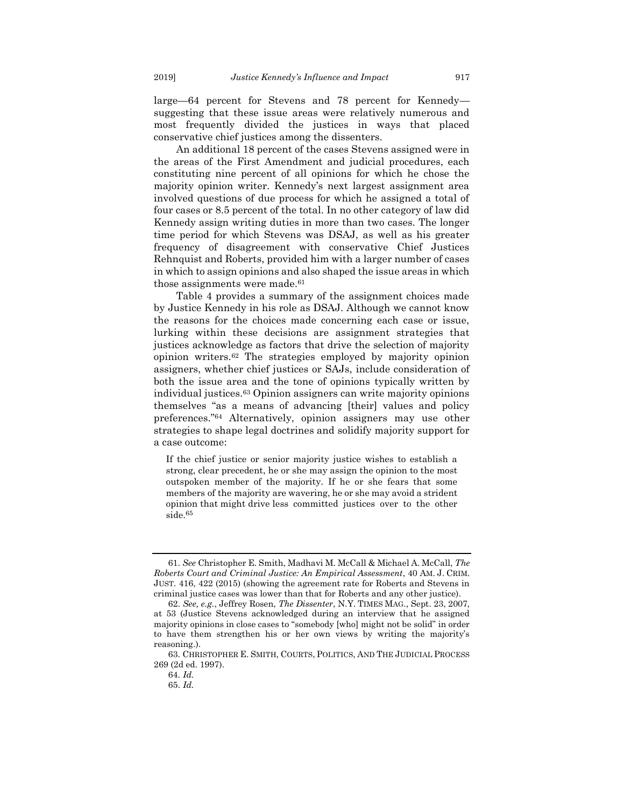large—64 percent for Stevens and 78 percent for Kennedy suggesting that these issue areas were relatively numerous and most frequently divided the justices in ways that placed conservative chief justices among the dissenters.

An additional 18 percent of the cases Stevens assigned were in the areas of the First Amendment and judicial procedures, each constituting nine percent of all opinions for which he chose the majority opinion writer. Kennedy's next largest assignment area involved questions of due process for which he assigned a total of four cases or 8.5 percent of the total. In no other category of law did Kennedy assign writing duties in more than two cases. The longer time period for which Stevens was DSAJ, as well as his greater frequency of disagreement with conservative Chief Justices Rehnquist and Roberts, provided him with a larger number of cases in which to assign opinions and also shaped the issue areas in which those assignments were made.<sup>61</sup>

<span id="page-11-0"></span>Table 4 provides a summary of the assignment choices made by Justice Kennedy in his role as DSAJ. Although we cannot know the reasons for the choices made concerning each case or issue, lurking within these decisions are assignment strategies that justices acknowledge as factors that drive the selection of majority opinion writers.<sup>62</sup> The strategies employed by majority opinion assigners, whether chief justices or SAJs, include consideration of both the issue area and the tone of opinions typically written by individual justices.<sup>63</sup> Opinion assigners can write majority opinions themselves "as a means of advancing [their] values and policy preferences."<sup>64</sup> Alternatively, opinion assigners may use other strategies to shape legal doctrines and solidify majority support for a case outcome:

If the chief justice or senior majority justice wishes to establish a strong, clear precedent, he or she may assign the opinion to the most outspoken member of the majority. If he or she fears that some members of the majority are wavering, he or she may avoid a strident opinion that might drive less committed justices over to the other side.<sup>65</sup>

<sup>61.</sup> *See* Christopher E. Smith, Madhavi M. McCall & Michael A. McCall, *The Roberts Court and Criminal Justice: An Empirical Assessment*, 40 AM. J. CRIM. JUST. 416, 422 (2015) (showing the agreement rate for Roberts and Stevens in criminal justice cases was lower than that for Roberts and any other justice).

<sup>62.</sup> *See, e.g.*, Jeffrey Rosen, *The Dissenter*, N.Y. TIMES MAG., Sept. 23, 2007, at 53 (Justice Stevens acknowledged during an interview that he assigned majority opinions in close cases to "somebody [who] might not be solid" in order to have them strengthen his or her own views by writing the majority's reasoning.).

<sup>63.</sup> CHRISTOPHER E. SMITH, COURTS, POLITICS, AND THE JUDICIAL PROCESS 269 (2d ed. 1997).

<sup>64.</sup> *Id.*

<sup>65.</sup> *Id.*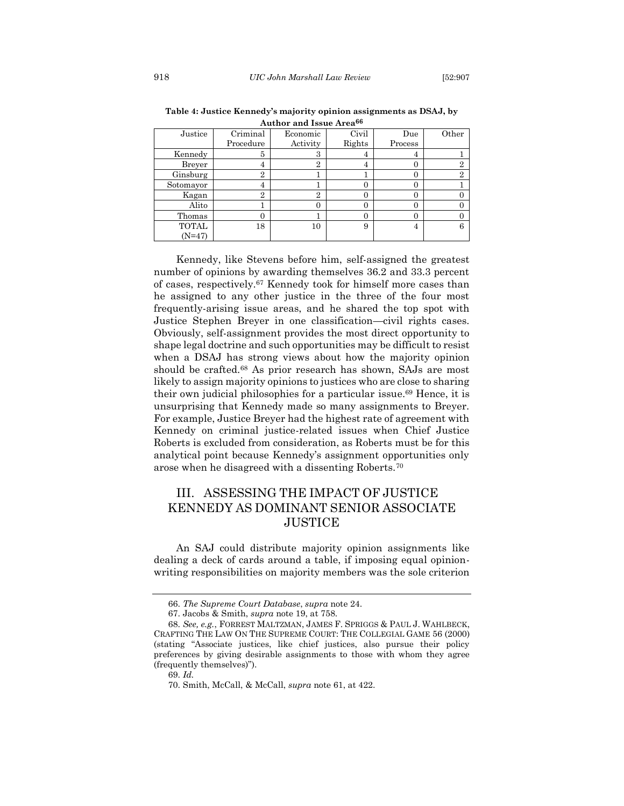| 11001101 01101 1990 1991 190 |                |          |        |          |       |  |  |  |
|------------------------------|----------------|----------|--------|----------|-------|--|--|--|
| Justice                      | Criminal       | Economic | Civil  | Due      | Other |  |  |  |
|                              | Procedure      | Activity | Rights | Process  |       |  |  |  |
| Kennedy                      | 5              | 3        | 4      | 4        |       |  |  |  |
| Breyer                       | 4              | 2        | 4      | 0        | 2     |  |  |  |
| Ginsburg                     | $\overline{2}$ |          |        | 0        | 9     |  |  |  |
| Sotomayor                    | 4              |          | 0      | 0        |       |  |  |  |
| Kagan                        | $\overline{2}$ | 2        | 0      | $\Omega$ |       |  |  |  |
| Alito                        |                |          | 0      | $\Omega$ |       |  |  |  |
| Thomas                       | 0              |          | 0      | $\Omega$ |       |  |  |  |
| <b>TOTAL</b>                 | 18             | 10       | 9      | 4        | 6     |  |  |  |
| $(N=47)$                     |                |          |        |          |       |  |  |  |

**Table 4: Justice Kennedy's majority opinion assignments as DSAJ, by Author and Issue Area<sup>66</sup>**

<span id="page-12-1"></span>Kennedy, like Stevens before him, self-assigned the greatest number of opinions by awarding themselves 36.2 and 33.3 percent of cases, respectively.<sup>67</sup> Kennedy took for himself more cases than he assigned to any other justice in the three of the four most frequently-arising issue areas, and he shared the top spot with Justice Stephen Breyer in one classification—civil rights cases. Obviously, self-assignment provides the most direct opportunity to shape legal doctrine and such opportunities may be difficult to resist when a DSAJ has strong views about how the majority opinion should be crafted.<sup>68</sup> As prior research has shown, SAJs are most likely to assign majority opinions to justices who are close to sharing their own judicial philosophies for a particular issue.<sup>69</sup> Hence, it is unsurprising that Kennedy made so many assignments to Breyer. For example, Justice Breyer had the highest rate of agreement with Kennedy on criminal justice-related issues when Chief Justice Roberts is excluded from consideration, as Roberts must be for this analytical point because Kennedy's assignment opportunities only arose when he disagreed with a dissenting Roberts.<sup>70</sup>

# <span id="page-12-0"></span>III. ASSESSING THE IMPACT OF JUSTICE KENNEDY AS DOMINANT SENIOR ASSOCIATE **JUSTICE**

An SAJ could distribute majority opinion assignments like dealing a deck of cards around a table, if imposing equal opinionwriting responsibilities on majority members was the sole criterion

<sup>66.</sup> *The Supreme Court Database*, *supra* not[e 24.](#page-4-1)

<sup>67.</sup> Jacobs & Smith, *supra* note [19,](#page-3-0) at 758.

<sup>68.</sup> *See, e.g.*, FORREST MALTZMAN, JAMES F. SPRIGGS & PAUL J. WAHLBECK, CRAFTING THE LAW ON THE SUPREME COURT: THE COLLEGIAL GAME 56 (2000) (stating "Associate justices, like chief justices, also pursue their policy preferences by giving desirable assignments to those with whom they agree (frequently themselves)").

<sup>69.</sup> *Id.*

<sup>70.</sup> Smith, McCall, & McCall, *supra* note [61,](#page-11-0) at 422.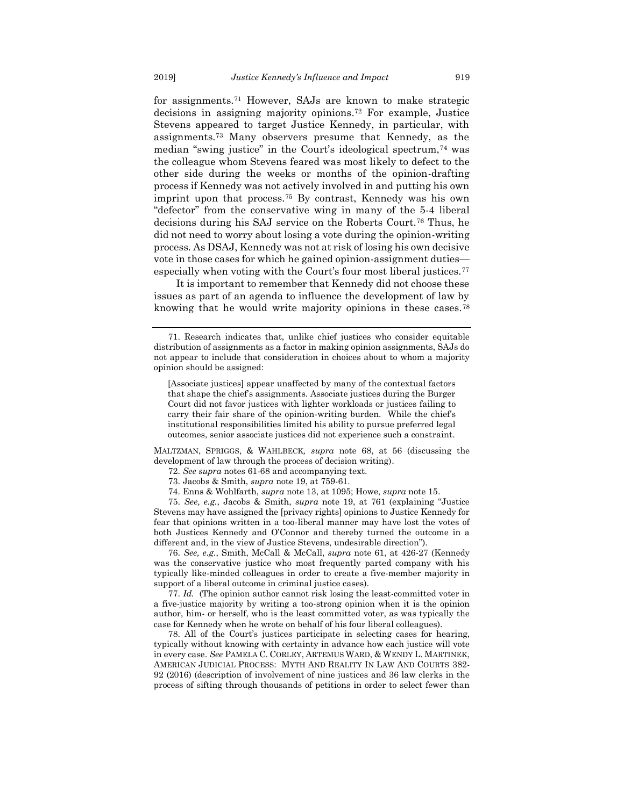for assignments.<sup>71</sup> However, SAJs are known to make strategic decisions in assigning majority opinions. <sup>72</sup> For example, Justice Stevens appeared to target Justice Kennedy, in particular, with assignments.<sup>73</sup> Many observers presume that Kennedy, as the median "swing justice" in the Court's ideological spectrum,<sup>74</sup> was the colleague whom Stevens feared was most likely to defect to the other side during the weeks or months of the opinion-drafting process if Kennedy was not actively involved in and putting his own imprint upon that process.<sup>75</sup> By contrast, Kennedy was his own "defector" from the conservative wing in many of the 5-4 liberal decisions during his SAJ service on the Roberts Court.<sup>76</sup> Thus, he did not need to worry about losing a vote during the opinion-writing process. As DSAJ, Kennedy was not at risk of losing his own decisive vote in those cases for which he gained opinion-assignment duties especially when voting with the Court's four most liberal justices.<sup>77</sup>

It is important to remember that Kennedy did not choose these issues as part of an agenda to influence the development of law by knowing that he would write majority opinions in these cases.<sup>78</sup>

MALTZMAN, SPRIGGS, & WAHLBECK*, supra* note [68,](#page-12-1) at 56 (discussing the development of law through the process of decision writing).

- 72. *See supra* notes 61-68 and accompanying text.
- 73. Jacobs & Smith, *supra* note [19,](#page-3-0) at 759-61.
- 74. Enns & Wohlfarth, *supra* not[e 13,](#page-3-1) at 1095; Howe, *supra* note [15.](#page-3-2)

75. *See, e.g.*, Jacobs & Smith, *supra* note [19,](#page-3-0) at 761 (explaining "Justice Stevens may have assigned the [privacy rights] opinions to Justice Kennedy for fear that opinions written in a too-liberal manner may have lost the votes of both Justices Kennedy and O'Connor and thereby turned the outcome in a different and, in the view of Justice Stevens, undesirable direction").

76. *See, e.g.*, Smith, McCall & McCall, *supra* note 61, at 426-27 (Kennedy was the conservative justice who most frequently parted company with his typically like-minded colleagues in order to create a five-member majority in support of a liberal outcome in criminal justice cases).

77. *Id.* (The opinion author cannot risk losing the least-committed voter in a five-justice majority by writing a too-strong opinion when it is the opinion author, him- or herself, who is the least committed voter, as was typically the case for Kennedy when he wrote on behalf of his four liberal colleagues).

78. All of the Court's justices participate in selecting cases for hearing, typically without knowing with certainty in advance how each justice will vote in every case. *See* PAMELA C. CORLEY, ARTEMUS WARD, & WENDY L. MARTINEK, AMERICAN JUDICIAL PROCESS: MYTH AND REALITY IN LAW AND COURTS 382- 92 (2016) (description of involvement of nine justices and 36 law clerks in the process of sifting through thousands of petitions in order to select fewer than

<sup>71.</sup> Research indicates that, unlike chief justices who consider equitable distribution of assignments as a factor in making opinion assignments, SAJs do not appear to include that consideration in choices about to whom a majority opinion should be assigned:

<sup>[</sup>Associate justices] appear unaffected by many of the contextual factors that shape the chief's assignments. Associate justices during the Burger Court did not favor justices with lighter workloads or justices failing to carry their fair share of the opinion-writing burden. While the chief's institutional responsibilities limited his ability to pursue preferred legal outcomes, senior associate justices did not experience such a constraint.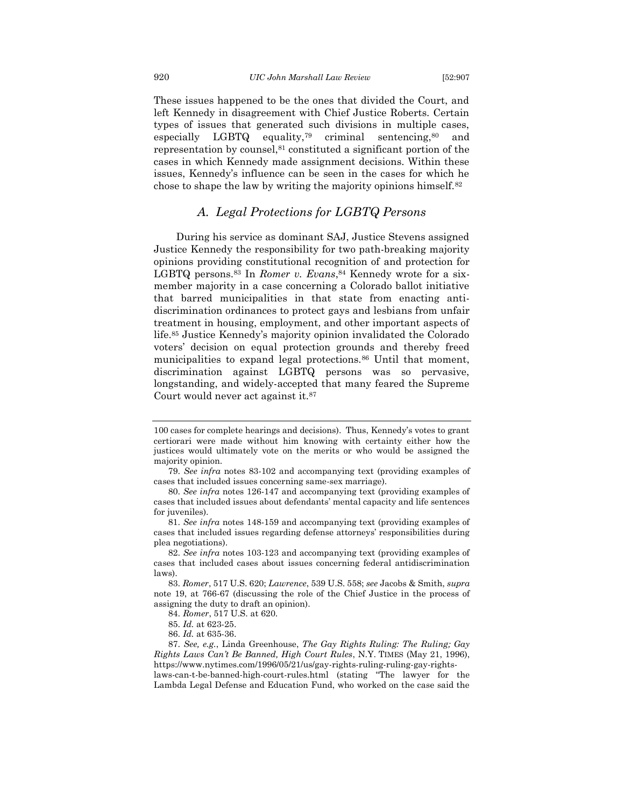These issues happened to be the ones that divided the Court, and left Kennedy in disagreement with Chief Justice Roberts. Certain types of issues that generated such divisions in multiple cases, especially LGBTQ equality,<sup>79</sup> criminal sentencing,<sup>80</sup> and representation by counsel,<sup>81</sup> constituted a significant portion of the cases in which Kennedy made assignment decisions. Within these issues, Kennedy's influence can be seen in the cases for which he chose to shape the law by writing the majority opinions himself.<sup>82</sup>

## <span id="page-14-1"></span>*A. Legal Protections for LGBTQ Persons*

<span id="page-14-0"></span>During his service as dominant SAJ, Justice Stevens assigned Justice Kennedy the responsibility for two path-breaking majority opinions providing constitutional recognition of and protection for LGBTQ persons.<sup>83</sup> In *Romer v. Evans*,<sup>84</sup> Kennedy wrote for a sixmember majority in a case concerning a Colorado ballot initiative that barred municipalities in that state from enacting antidiscrimination ordinances to protect gays and lesbians from unfair treatment in housing, employment, and other important aspects of life.<sup>85</sup> Justice Kennedy's majority opinion invalidated the Colorado voters' decision on equal protection grounds and thereby freed municipalities to expand legal protections.<sup>86</sup> Until that moment, discrimination against LGBTQ persons was so pervasive, longstanding, and widely-accepted that many feared the Supreme Court would never act against it.<sup>87</sup>

<sup>100</sup> cases for complete hearings and decisions). Thus, Kennedy's votes to grant certiorari were made without him knowing with certainty either how the justices would ultimately vote on the merits or who would be assigned the majority opinion.

<sup>79.</sup> *See infra* notes [83](#page-14-1)[-102](#page-16-1) and accompanying text (providing examples of cases that included issues concerning same-sex marriage).

<sup>80.</sup> *See infra* notes [126-](#page-19-1)[147](#page-21-1) and accompanying text (providing examples of cases that included issues about defendants' mental capacity and life sentences for juveniles).

<sup>81.</sup> *See infra* notes [148-](#page-21-2)[159](#page-22-1) and accompanying text (providing examples of cases that included issues regarding defense attorneys' responsibilities during plea negotiations).

<sup>82.</sup> *See infra* notes [103-](#page-16-2)[123](#page-18-0) and accompanying text (providing examples of cases that included cases about issues concerning federal antidiscrimination laws).

<sup>83.</sup> *Romer*, 517 U.S. 620; *Lawrence*, 539 U.S. 558; *see* Jacobs & Smith, *supra*  note [19,](#page-3-0) at 766-67 (discussing the role of the Chief Justice in the process of assigning the duty to draft an opinion).

<sup>84.</sup> *Romer*, 517 U.S. at 620.

<sup>85.</sup> *Id.* at 623-25.

<sup>86.</sup> *Id.* at 635-36.

<sup>87.</sup> *See, e.g.*, Linda Greenhouse, *The Gay Rights Ruling: The Ruling; Gay Rights Laws Can't Be Banned, High Court Rules*, N.Y. TIMES (May 21, 1996), https://www.nytimes.com/1996/05/21/us/gay-rights-ruling-ruling-gay-rights-

laws-can-t-be-banned-high-court-rules.html (stating "The lawyer for the Lambda Legal Defense and Education Fund, who worked on the case said the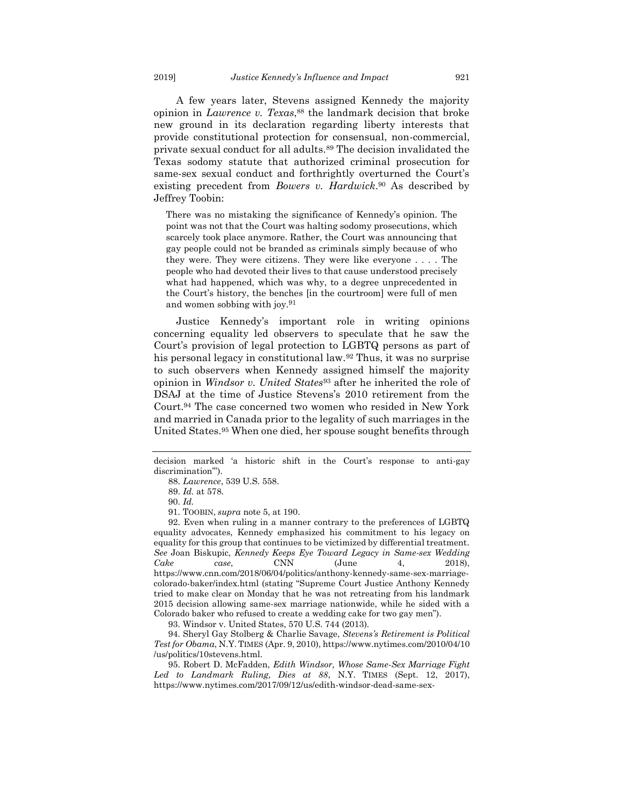A few years later, Stevens assigned Kennedy the majority opinion in *Lawrence v. Texas*, <sup>88</sup> the landmark decision that broke new ground in its declaration regarding liberty interests that provide constitutional protection for consensual, non-commercial, private sexual conduct for all adults.<sup>89</sup> The decision invalidated the Texas sodomy statute that authorized criminal prosecution for same-sex sexual conduct and forthrightly overturned the Court's existing precedent from *Bowers v. Hardwick*. <sup>90</sup> As described by Jeffrey Toobin:

There was no mistaking the significance of Kennedy's opinion. The point was not that the Court was halting sodomy prosecutions, which scarcely took place anymore. Rather, the Court was announcing that gay people could not be branded as criminals simply because of who they were. They were citizens. They were like everyone . . . . The people who had devoted their lives to that cause understood precisely what had happened, which was why, to a degree unprecedented in the Court's history, the benches [in the courtroom] were full of men and women sobbing with joy.<sup>91</sup>

<span id="page-15-1"></span><span id="page-15-0"></span>Justice Kennedy's important role in writing opinions concerning equality led observers to speculate that he saw the Court's provision of legal protection to LGBTQ persons as part of his personal legacy in constitutional law.<sup>92</sup> Thus, it was no surprise to such observers when Kennedy assigned himself the majority opinion in *Windsor v. United States*<sup>93</sup> after he inherited the role of DSAJ at the time of Justice Stevens's 2010 retirement from the Court.<sup>94</sup> The case concerned two women who resided in New York and married in Canada prior to the legality of such marriages in the United States.<sup>95</sup> When one died, her spouse sought benefits through

91. TOOBIN, *supra* note 5, at 190.

92. Even when ruling in a manner contrary to the preferences of LGBTQ equality advocates, Kennedy emphasized his commitment to his legacy on equality for this group that continues to be victimized by differential treatment. *See* Joan Biskupic, *Kennedy Keeps Eye Toward Legacy in Same-sex Wedding Cake case*, CNN (June 4, 2018), https://www.cnn.com/2018/06/04/politics/anthony-kennedy-same-sex-marriagecolorado-baker/index.html (stating "Supreme Court Justice Anthony Kennedy tried to make clear on Monday that he was not retreating from his landmark 2015 decision allowing same-sex marriage nationwide, while he sided with a Colorado baker who refused to create a wedding cake for two gay men").

93. Windsor v. United States, 570 U.S. 744 (2013).

94. Sheryl Gay Stolberg & Charlie Savage, *Stevens's Retirement is Political Test for Obama*, N.Y. TIMES (Apr. 9, 2010), https://www.nytimes.com/2010/04/10 /us/politics/10stevens.html.

95. Robert D. McFadden, *Edith Windsor, Whose Same-Sex Marriage Fight Led to Landmark Ruling, Dies at 88*, N.Y. TIMES (Sept. 12, 2017), https://www.nytimes.com/2017/09/12/us/edith-windsor-dead-same-sex-

decision marked 'a historic shift in the Court's response to anti-gay discrimination'").

<sup>88.</sup> *Lawrence*, 539 U.S. 558.

<sup>89.</sup> *Id.* at 578.

<sup>90.</sup> *Id.*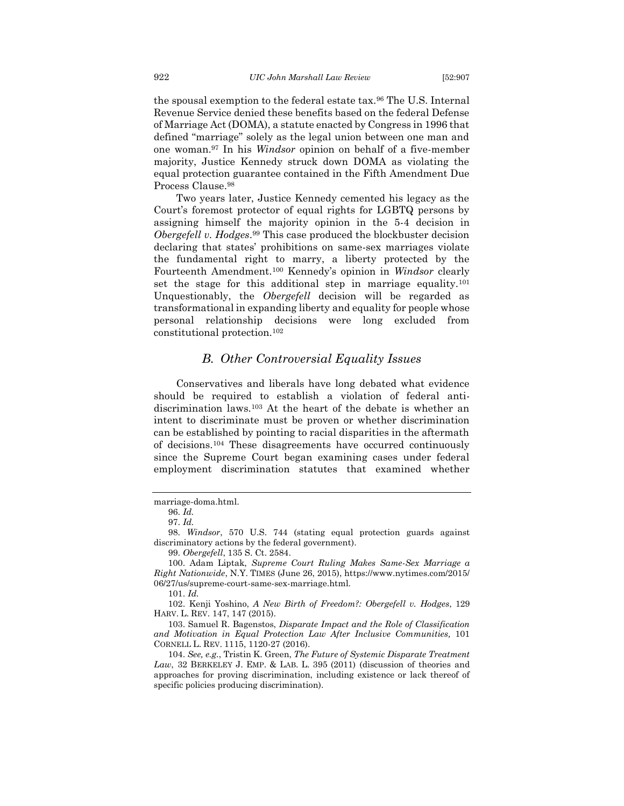the spousal exemption to the federal estate tax.<sup>96</sup> The U.S. Internal Revenue Service denied these benefits based on the federal Defense of Marriage Act (DOMA), a statute enacted by Congress in 1996 that defined "marriage" solely as the legal union between one man and one woman.<sup>97</sup> In his *Windsor* opinion on behalf of a five-member majority, Justice Kennedy struck down DOMA as violating the equal protection guarantee contained in the Fifth Amendment Due Process Clause.<sup>98</sup>

Two years later, Justice Kennedy cemented his legacy as the Court's foremost protector of equal rights for LGBTQ persons by assigning himself the majority opinion in the 5-4 decision in *Obergefell v. Hodges*. <sup>99</sup> This case produced the blockbuster decision declaring that states' prohibitions on same-sex marriages violate the fundamental right to marry, a liberty protected by the Fourteenth Amendment.<sup>100</sup> Kennedy's opinion in *Windsor* clearly set the stage for this additional step in marriage equality.<sup>101</sup> Unquestionably, the *Obergefell* decision will be regarded as transformational in expanding liberty and equality for people whose personal relationship decisions were long excluded from constitutional protection.<sup>102</sup>

## <span id="page-16-2"></span><span id="page-16-1"></span>*B. Other Controversial Equality Issues*

<span id="page-16-0"></span>Conservatives and liberals have long debated what evidence should be required to establish a violation of federal antidiscrimination laws.<sup>103</sup> At the heart of the debate is whether an intent to discriminate must be proven or whether discrimination can be established by pointing to racial disparities in the aftermath of decisions.<sup>104</sup> These disagreements have occurred continuously since the Supreme Court began examining cases under federal employment discrimination statutes that examined whether

101. *Id.*

marriage-doma.html.

<sup>96.</sup> *Id.*

<sup>97.</sup> *Id.*

<sup>98.</sup> *Windsor*, 570 U.S. 744 (stating equal protection guards against discriminatory actions by the federal government).

<sup>99.</sup> *Obergefell*, 135 S. Ct. 2584.

<sup>100.</sup> Adam Liptak, *Supreme Court Ruling Makes Same-Sex Marriage a Right Nationwide*, N.Y. TIMES (June 26, 2015), https://www.nytimes.com/2015/ 06/27/us/supreme-court-same-sex-marriage.html.

<sup>102.</sup> Kenji Yoshino, *A New Birth of Freedom?: Obergefell v. Hodges*, 129 HARV. L. REV. 147, 147 (2015).

<sup>103.</sup> Samuel R. Bagenstos, *Disparate Impact and the Role of Classification and Motivation in Equal Protection Law After Inclusive Communities,* 101 CORNELL L. REV. 1115, 1120-27 (2016).

<sup>104.</sup> *See, e.g.*, Tristin K. Green, *The Future of Systemic Disparate Treatment Law*, 32 BERKELEY J. EMP. & LAB. L. 395 (2011) (discussion of theories and approaches for proving discrimination, including existence or lack thereof of specific policies producing discrimination).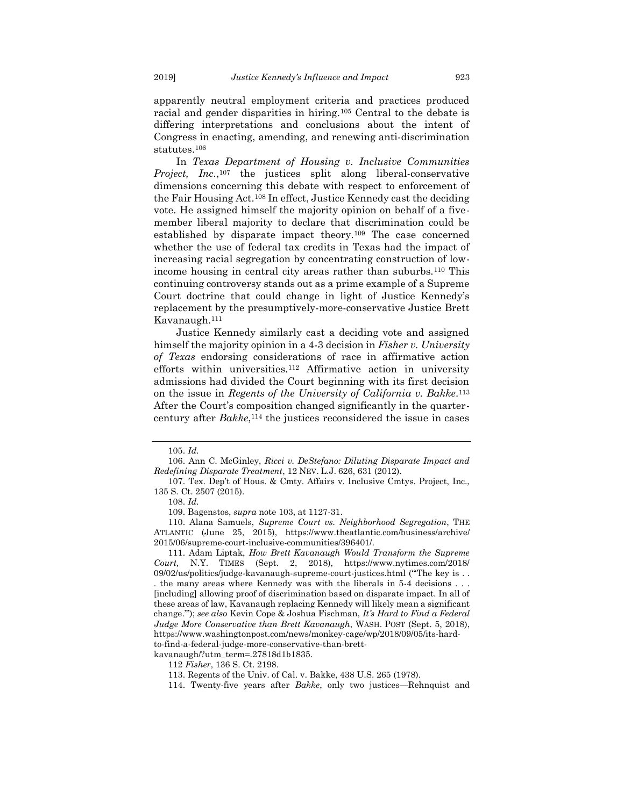apparently neutral employment criteria and practices produced racial and gender disparities in hiring.<sup>105</sup> Central to the debate is differing interpretations and conclusions about the intent of Congress in enacting, amending, and renewing anti-discrimination statutes.<sup>106</sup>

In *Texas Department of Housing v. Inclusive Communities Project, Inc.*,<sup>107</sup> the justices split along liberal-conservative dimensions concerning this debate with respect to enforcement of the Fair Housing Act.<sup>108</sup> In effect, Justice Kennedy cast the deciding vote. He assigned himself the majority opinion on behalf of a fivemember liberal majority to declare that discrimination could be established by disparate impact theory.<sup>109</sup> The case concerned whether the use of federal tax credits in Texas had the impact of increasing racial segregation by concentrating construction of lowincome housing in central city areas rather than suburbs.<sup>110</sup> This continuing controversy stands out as a prime example of a Supreme Court doctrine that could change in light of Justice Kennedy's replacement by the presumptively-more-conservative Justice Brett Kavanaugh.<sup>111</sup>

Justice Kennedy similarly cast a deciding vote and assigned himself the majority opinion in a 4-3 decision in *Fisher v. University of Texas* endorsing considerations of race in affirmative action efforts within universities.<sup>112</sup> Affirmative action in university admissions had divided the Court beginning with its first decision on the issue in *Regents of the University of California v. Bakke*. 113 After the Court's composition changed significantly in the quartercentury after *Bakke*, <sup>114</sup> the justices reconsidered the issue in cases

<sup>105.</sup> *Id.*

<sup>106.</sup> Ann C. McGinley, *Ricci v. DeStefano: Diluting Disparate Impact and Redefining Disparate Treatment*, 12 NEV. L.J. 626, 631 (2012).

<sup>107.</sup> Tex. Dep't of Hous. & Cmty. Affairs v. Inclusive Cmtys. Project, Inc., 135 S. Ct. 2507 (2015).

<sup>108.</sup> *Id.*

<sup>109.</sup> Bagenstos, *supra* note 103, at 1127-31.

<sup>110.</sup> Alana Samuels, *Supreme Court vs. Neighborhood Segregation*, THE ATLANTIC (June 25, 2015), https://www.theatlantic.com/business/archive/ 2015/06/supreme-court-inclusive-communities/396401/.

<sup>111.</sup> Adam Liptak, *How Brett Kavanaugh Would Transform the Supreme Court,* N.Y. TIMES (Sept. 2, 2018), https://www.nytimes.com/2018/ 09/02/us/politics/judge-kavanaugh-supreme-court-justices.html ("The key is ... . the many areas where Kennedy was with the liberals in 5-4 decisions . . . [including] allowing proof of discrimination based on disparate impact. In all of these areas of law, Kavanaugh replacing Kennedy will likely mean a significant change.'"); *see also* Kevin Cope & Joshua Fischman, *It's Hard to Find a Federal Judge More Conservative than Brett Kavanaugh*, WASH. POST (Sept. 5, 2018), https://www.washingtonpost.com/news/monkey-cage/wp/2018/09/05/its-hardto-find-a-federal-judge-more-conservative-than-brett-

kavanaugh/?utm\_term=.27818d1b1835.

<sup>112</sup> *Fisher*, 136 S. Ct. 2198.

<sup>113.</sup> Regents of the Univ. of Cal. v. Bakke, 438 U.S. 265 (1978).

<sup>114.</sup> Twenty-five years after *Bakke*, only two justices—Rehnquist and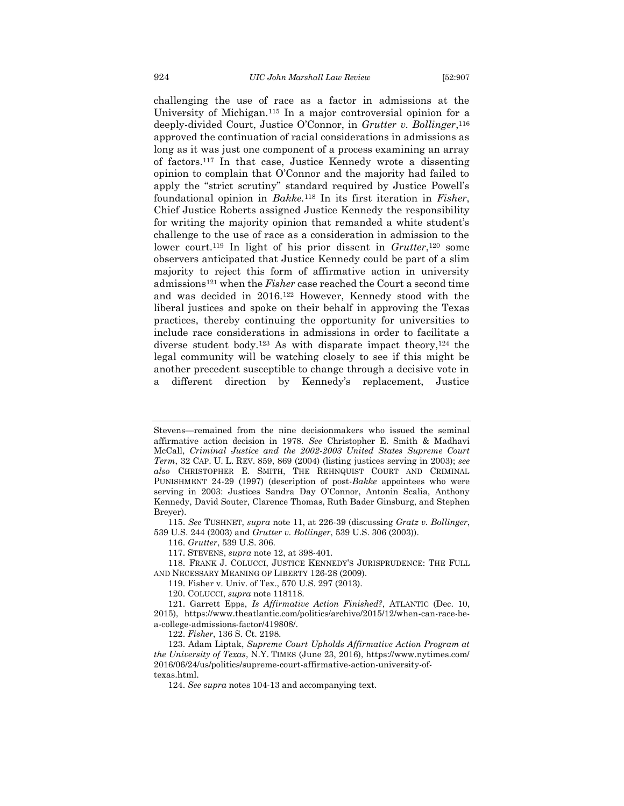<span id="page-18-1"></span>challenging the use of race as a factor in admissions at the University of Michigan.<sup>115</sup> In a major controversial opinion for a deeply-divided Court, Justice O'Connor, in *Grutter v. Bollinger*, 116 approved the continuation of racial considerations in admissions as long as it was just one component of a process examining an array of factors.<sup>117</sup> In that case, Justice Kennedy wrote a dissenting opinion to complain that O'Connor and the majority had failed to apply the "strict scrutiny" standard required by Justice Powell's foundational opinion in *Bakke.*<sup>118</sup> In its first iteration in *Fisher*, Chief Justice Roberts assigned Justice Kennedy the responsibility for writing the majority opinion that remanded a white student's challenge to the use of race as a consideration in admission to the lower court.<sup>119</sup> In light of his prior dissent in *Grutter*,<sup>120</sup> some observers anticipated that Justice Kennedy could be part of a slim majority to reject this form of affirmative action in university admissions<sup>121</sup> when the *Fisher* case reached the Court a second time and was decided in 2016.<sup>122</sup> However, Kennedy stood with the liberal justices and spoke on their behalf in approving the Texas practices, thereby continuing the opportunity for universities to include race considerations in admissions in order to facilitate a diverse student body.<sup>123</sup> As with disparate impact theory,<sup>124</sup> the legal community will be watching closely to see if this might be another precedent susceptible to change through a decisive vote in a different direction by Kennedy's replacement, Justice

- 117. STEVENS, *supra* not[e 12,](#page-3-3) at 398-401.
- 118. FRANK J. COLUCCI, JUSTICE KENNEDY'S JURISPRUDENCE: THE FULL AND NECESSARY MEANING OF LIBERTY 126-28 (2009).
	- 119. Fisher v. Univ. of Tex., 570 U.S. 297 (2013).
	- 120. COLUCCI, *supra* note [118118.](#page-18-1)
- 121. Garrett Epps, *Is Affirmative Action Finished?*, ATLANTIC (Dec. 10, 2015), https://www.theatlantic.com/politics/archive/2015/12/when-can-race-bea-college-admissions-factor/419808/.
	- 122. *Fisher*, 136 S. Ct. 2198.
- 123. Adam Liptak, *Supreme Court Upholds Affirmative Action Program at the University of Texas*, N.Y. TIMES (June 23, 2016), https://www.nytimes.com/ 2016/06/24/us/politics/supreme-court-affirmative-action-university-oftexas.html.
	- 124. *See supra* notes 104-13 and accompanying text.

<span id="page-18-0"></span>Stevens—remained from the nine decisionmakers who issued the seminal affirmative action decision in 1978. *See* Christopher E. Smith & Madhavi McCall, *Criminal Justice and the 2002-2003 United States Supreme Court Term*, 32 CAP. U. L. REV. 859, 869 (2004) (listing justices serving in 2003); *see also* CHRISTOPHER E. SMITH, THE REHNQUIST COURT AND CRIMINAL PUNISHMENT 24-29 (1997) (description of post-*Bakke* appointees who were serving in 2003: Justices Sandra Day O'Connor, Antonin Scalia, Anthony Kennedy, David Souter, Clarence Thomas, Ruth Bader Ginsburg, and Stephen Breyer).

<sup>115.</sup> *See* TUSHNET, *supra* note [11,](#page-2-0) at 226-39 (discussing *Gratz v. Bollinger*, 539 U.S. 244 (2003) and *Grutter v. Bollinger*, 539 U.S. 306 (2003)).

<sup>116.</sup> *Grutter*, 539 U.S. 306.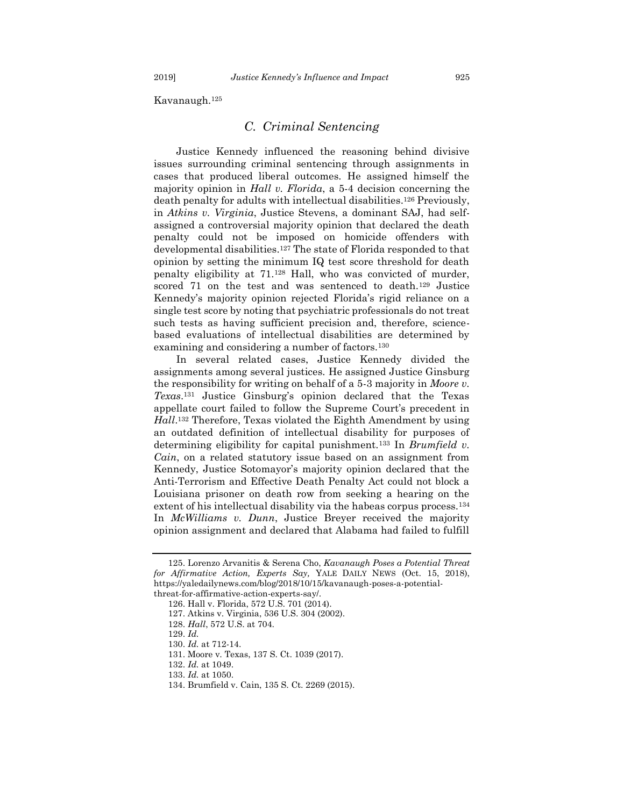<span id="page-19-0"></span>Kavanaugh.<sup>125</sup>

#### <span id="page-19-1"></span>*C. Criminal Sentencing*

Justice Kennedy influenced the reasoning behind divisive issues surrounding criminal sentencing through assignments in cases that produced liberal outcomes. He assigned himself the majority opinion in *Hall v. Florida*, a 5-4 decision concerning the death penalty for adults with intellectual disabilities.<sup>126</sup> Previously, in *Atkins v. Virginia*, Justice Stevens, a dominant SAJ, had selfassigned a controversial majority opinion that declared the death penalty could not be imposed on homicide offenders with developmental disabilities.<sup>127</sup> The state of Florida responded to that opinion by setting the minimum IQ test score threshold for death penalty eligibility at 71.<sup>128</sup> Hall, who was convicted of murder, scored 71 on the test and was sentenced to death.<sup>129</sup> Justice Kennedy's majority opinion rejected Florida's rigid reliance on a single test score by noting that psychiatric professionals do not treat such tests as having sufficient precision and, therefore, sciencebased evaluations of intellectual disabilities are determined by examining and considering a number of factors.<sup>130</sup>

In several related cases, Justice Kennedy divided the assignments among several justices. He assigned Justice Ginsburg the responsibility for writing on behalf of a 5-3 majority in *Moore v. Texas*. <sup>131</sup> Justice Ginsburg's opinion declared that the Texas appellate court failed to follow the Supreme Court's precedent in *Hall*. <sup>132</sup> Therefore, Texas violated the Eighth Amendment by using an outdated definition of intellectual disability for purposes of determining eligibility for capital punishment.<sup>133</sup> In *Brumfield v. Cain*, on a related statutory issue based on an assignment from Kennedy, Justice Sotomayor's majority opinion declared that the Anti-Terrorism and Effective Death Penalty Act could not block a Louisiana prisoner on death row from seeking a hearing on the extent of his intellectual disability via the habeas corpus process.<sup>134</sup> In *McWilliams v. Dunn*, Justice Breyer received the majority opinion assignment and declared that Alabama had failed to fulfill

<sup>125.</sup> Lorenzo Arvanitis & Serena Cho, *Kavanaugh Poses a Potential Threat for Affirmative Action, Experts Say,* YALE DAILY NEWS (Oct. 15, 2018), https://yaledailynews.com/blog/2018/10/15/kavanaugh-poses-a-potentialthreat-for-affirmative-action-experts-say/.

<sup>126.</sup> Hall v. Florida, 572 U.S. 701 (2014).

<sup>127.</sup> Atkins v. Virginia, 536 U.S. 304 (2002).

<sup>128.</sup> *Hall*, 572 U.S. at 704.

<sup>129.</sup> *Id.*

<sup>130.</sup> *Id.* at 712-14.

<sup>131.</sup> Moore v. Texas, 137 S. Ct. 1039 (2017).

<sup>132.</sup> *Id.* at 1049.

<sup>133.</sup> *Id.* at 1050.

<sup>134.</sup> Brumfield v. Cain, 135 S. Ct. 2269 (2015).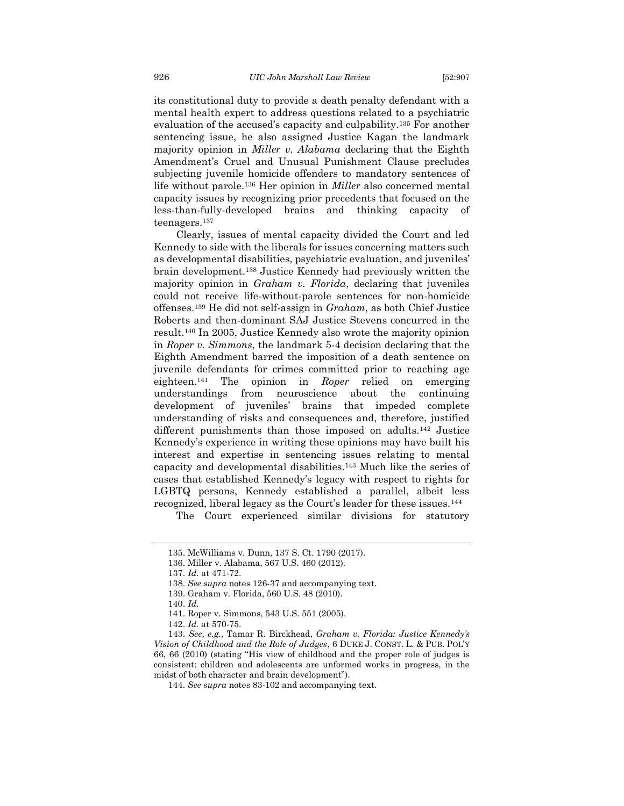its constitutional duty to provide a death penalty defendant with a mental health expert to address questions related to a psychiatric evaluation of the accused's capacity and culpability.<sup>135</sup> For another sentencing issue, he also assigned Justice Kagan the landmark majority opinion in *Miller v. Alabama* declaring that the Eighth Amendment's Cruel and Unusual Punishment Clause precludes subjecting juvenile homicide offenders to mandatory sentences of life without parole.<sup>136</sup> Her opinion in *Miller* also concerned mental capacity issues by recognizing prior precedents that focused on the less-than-fully-developed brains and thinking capacity of teenagers.<sup>137</sup>

<span id="page-20-0"></span>Clearly, issues of mental capacity divided the Court and led Kennedy to side with the liberals for issues concerning matters such as developmental disabilities, psychiatric evaluation, and juveniles' brain development.<sup>138</sup> Justice Kennedy had previously written the majority opinion in *Graham v. Florida*, declaring that juveniles could not receive life-without-parole sentences for non-homicide offenses.<sup>139</sup> He did not self-assign in *Graham*, as both Chief Justice Roberts and then-dominant SAJ Justice Stevens concurred in the result.<sup>140</sup> In 2005, Justice Kennedy also wrote the majority opinion in *Roper v. Simmons*, the landmark 5-4 decision declaring that the Eighth Amendment barred the imposition of a death sentence on juvenile defendants for crimes committed prior to reaching age eighteen.<sup>141</sup> The opinion in *Roper* relied on emerging understandings from neuroscience about the continuing development of juveniles' brains that impeded complete understanding of risks and consequences and, therefore, justified different punishments than those imposed on adults.<sup>142</sup> Justice Kennedy's experience in writing these opinions may have built his interest and expertise in sentencing issues relating to mental capacity and developmental disabilities.<sup>143</sup> Much like the series of cases that established Kennedy's legacy with respect to rights for LGBTQ persons, Kennedy established a parallel, albeit less recognized, liberal legacy as the Court's leader for these issues.<sup>144</sup>

The Court experienced similar divisions for statutory

<sup>135.</sup> McWilliams v. Dunn, 137 S. Ct. 1790 (2017).

<sup>136.</sup> Miller v. Alabama, 567 U.S. 460 (2012).

<sup>137.</sup> *Id.* at 471-72.

<sup>138.</sup> *See supra* notes 126-37 and accompanying text.

<sup>139.</sup> Graham v. Florida, 560 U.S. 48 (2010).

<sup>140.</sup> *Id.*

<sup>141.</sup> Roper v. Simmons, 543 U.S. 551 (2005).

<sup>142.</sup> *Id.* at 570-75.

<sup>143.</sup> *See, e.g.*, Tamar R. Birckhead, *Graham v. Florida: Justice Kennedy's Vision of Childhood and the Role of Judges*, 6 DUKE J. CONST. L. & PUB. POL'Y 66, 66 (2010) (stating "His view of childhood and the proper role of judges is consistent: children and adolescents are unformed works in progress, in the midst of both character and brain development").

<sup>144.</sup> *See supra* notes 83-102 and accompanying text.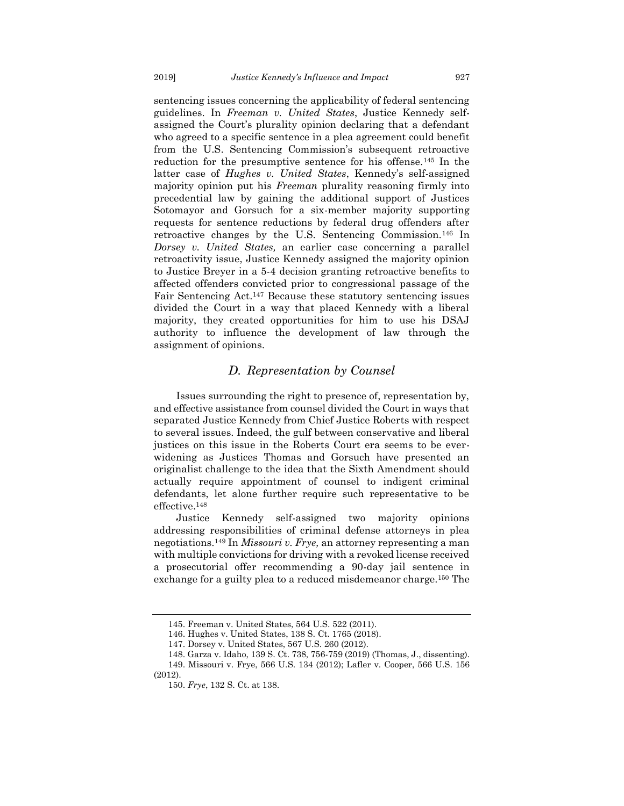sentencing issues concerning the applicability of federal sentencing guidelines. In *Freeman v. United States*, Justice Kennedy selfassigned the Court's plurality opinion declaring that a defendant who agreed to a specific sentence in a plea agreement could benefit from the U.S. Sentencing Commission's subsequent retroactive reduction for the presumptive sentence for his offense.<sup>145</sup> In the latter case of *Hughes v. United States*, Kennedy's self-assigned majority opinion put his *Freeman* plurality reasoning firmly into precedential law by gaining the additional support of Justices Sotomayor and Gorsuch for a six-member majority supporting requests for sentence reductions by federal drug offenders after retroactive changes by the U.S. Sentencing Commission.<sup>146</sup> In *Dorsey v. United States,* an earlier case concerning a parallel retroactivity issue, Justice Kennedy assigned the majority opinion to Justice Breyer in a 5-4 decision granting retroactive benefits to affected offenders convicted prior to congressional passage of the Fair Sentencing Act.<sup>147</sup> Because these statutory sentencing issues divided the Court in a way that placed Kennedy with a liberal majority, they created opportunities for him to use his DSAJ authority to influence the development of law through the assignment of opinions.

#### <span id="page-21-1"></span>*D. Representation by Counsel*

<span id="page-21-0"></span>Issues surrounding the right to presence of, representation by, and effective assistance from counsel divided the Court in ways that separated Justice Kennedy from Chief Justice Roberts with respect to several issues. Indeed, the gulf between conservative and liberal justices on this issue in the Roberts Court era seems to be everwidening as Justices Thomas and Gorsuch have presented an originalist challenge to the idea that the Sixth Amendment should actually require appointment of counsel to indigent criminal defendants, let alone further require such representative to be effective.<sup>148</sup>

<span id="page-21-2"></span>Justice Kennedy self-assigned two majority opinions addressing responsibilities of criminal defense attorneys in plea negotiations.<sup>149</sup> In *Missouri v. Frye,* an attorney representing a man with multiple convictions for driving with a revoked license received a prosecutorial offer recommending a 90-day jail sentence in exchange for a guilty plea to a reduced misdemeanor charge.<sup>150</sup> The

<sup>145.</sup> Freeman v. United States, 564 U.S. 522 (2011).

<sup>146.</sup> Hughes v. United States, 138 S. Ct. 1765 (2018).

<sup>147.</sup> Dorsey v. United States, 567 U.S. 260 (2012).

<sup>148.</sup> Garza v. Idaho, 139 S. Ct. 738, 756-759 (2019) (Thomas, J., dissenting).

<sup>149.</sup> Missouri v. Frye, 566 U.S. 134 (2012); Lafler v. Cooper, 566 U.S. 156 (2012).

<sup>150.</sup> *Frye*, 132 S. Ct. at 138.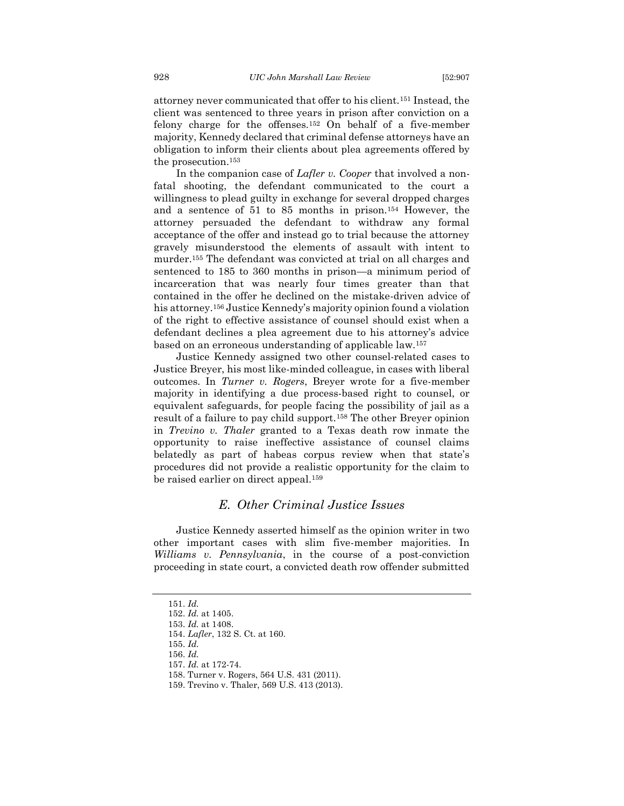attorney never communicated that offer to his client.<sup>151</sup> Instead, the client was sentenced to three years in prison after conviction on a felony charge for the offenses.<sup>152</sup> On behalf of a five-member majority, Kennedy declared that criminal defense attorneys have an obligation to inform their clients about plea agreements offered by the prosecution.<sup>153</sup>

In the companion case of *Lafler v. Cooper* that involved a nonfatal shooting, the defendant communicated to the court a willingness to plead guilty in exchange for several dropped charges and a sentence of 51 to 85 months in prison.<sup>154</sup> However, the attorney persuaded the defendant to withdraw any formal acceptance of the offer and instead go to trial because the attorney gravely misunderstood the elements of assault with intent to murder.<sup>155</sup> The defendant was convicted at trial on all charges and sentenced to 185 to 360 months in prison—a minimum period of incarceration that was nearly four times greater than that contained in the offer he declined on the mistake-driven advice of his attorney.<sup>156</sup> Justice Kennedy's majority opinion found a violation of the right to effective assistance of counsel should exist when a defendant declines a plea agreement due to his attorney's advice based on an erroneous understanding of applicable law.<sup>157</sup>

Justice Kennedy assigned two other counsel-related cases to Justice Breyer, his most like-minded colleague, in cases with liberal outcomes. In *Turner v. Rogers*, Breyer wrote for a five-member majority in identifying a due process-based right to counsel, or equivalent safeguards, for people facing the possibility of jail as a result of a failure to pay child support.<sup>158</sup> The other Breyer opinion in *Trevino v. Thaler* granted to a Texas death row inmate the opportunity to raise ineffective assistance of counsel claims belatedly as part of habeas corpus review when that state's procedures did not provide a realistic opportunity for the claim to be raised earlier on direct appeal.<sup>159</sup>

### <span id="page-22-1"></span>*E. Other Criminal Justice Issues*

<span id="page-22-0"></span>Justice Kennedy asserted himself as the opinion writer in two other important cases with slim five-member majorities. In *Williams v. Pennsylvania*, in the course of a post-conviction proceeding in state court, a convicted death row offender submitted

<sup>151.</sup> *Id.*

<sup>152.</sup> *Id.* at 1405.

<sup>153.</sup> *Id.* at 1408.

<sup>154.</sup> *Lafler*, 132 S. Ct. at 160.

<sup>155.</sup> *Id.*

<sup>156.</sup> *Id.*

<sup>157.</sup> *Id.* at 172-74.

<sup>158.</sup> Turner v. Rogers, 564 U.S. 431 (2011).

<sup>159.</sup> Trevino v. Thaler, 569 U.S. 413 (2013).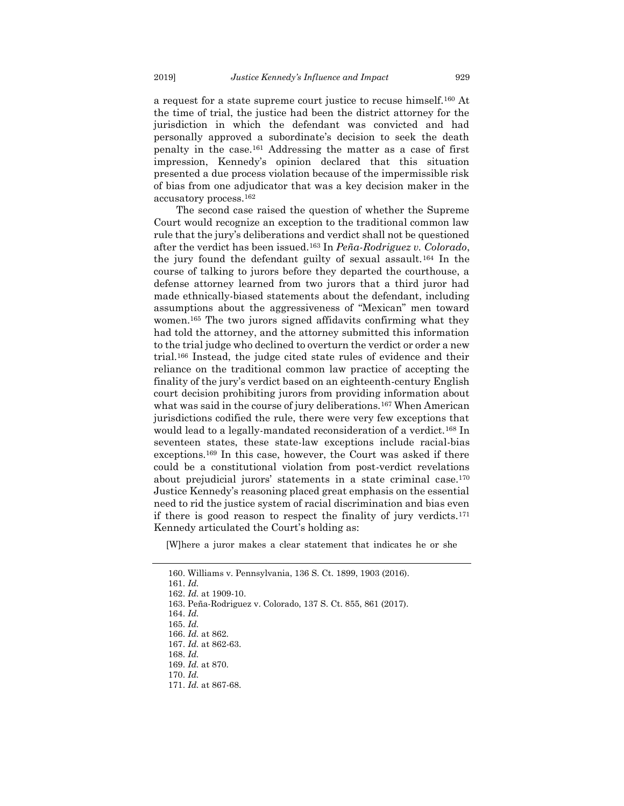<span id="page-23-0"></span>a request for a state supreme court justice to recuse himself.<sup>160</sup> At the time of trial, the justice had been the district attorney for the jurisdiction in which the defendant was convicted and had personally approved a subordinate's decision to seek the death penalty in the case.<sup>161</sup> Addressing the matter as a case of first impression, Kennedy's opinion declared that this situation presented a due process violation because of the impermissible risk of bias from one adjudicator that was a key decision maker in the accusatory process.<sup>162</sup>

The second case raised the question of whether the Supreme Court would recognize an exception to the traditional common law rule that the jury's deliberations and verdict shall not be questioned after the verdict has been issued.<sup>163</sup> In *Peña-Rodriguez v. Colorado*, the jury found the defendant guilty of sexual assault.<sup>164</sup> In the course of talking to jurors before they departed the courthouse, a defense attorney learned from two jurors that a third juror had made ethnically-biased statements about the defendant, including assumptions about the aggressiveness of "Mexican" men toward women.<sup>165</sup> The two jurors signed affidavits confirming what they had told the attorney, and the attorney submitted this information to the trial judge who declined to overturn the verdict or order a new trial.<sup>166</sup> Instead, the judge cited state rules of evidence and their reliance on the traditional common law practice of accepting the finality of the jury's verdict based on an eighteenth-century English court decision prohibiting jurors from providing information about what was said in the course of jury deliberations.<sup>167</sup> When American jurisdictions codified the rule, there were very few exceptions that would lead to a legally-mandated reconsideration of a verdict.<sup>168</sup> In seventeen states, these state-law exceptions include racial-bias exceptions.<sup>169</sup> In this case, however, the Court was asked if there could be a constitutional violation from post-verdict revelations about prejudicial jurors' statements in a state criminal case.<sup>170</sup> Justice Kennedy's reasoning placed great emphasis on the essential need to rid the justice system of racial discrimination and bias even if there is good reason to respect the finality of jury verdicts.<sup>171</sup> Kennedy articulated the Court's holding as:

[W]here a juror makes a clear statement that indicates he or she

<sup>160.</sup> Williams v. Pennsylvania, 136 S. Ct. 1899, 1903 (2016). 161. *Id.* 162. *Id.* at 1909-10. 163. Peña-Rodriguez v. Colorado, 137 S. Ct. 855, 861 (2017). 164. *Id.* 165. *Id.* 166. *Id.* at 862. 167. *Id.* at 862-63. 168. *Id.* 169. *Id.* at 870. 170. *Id.* 171. *Id.* at 867-68.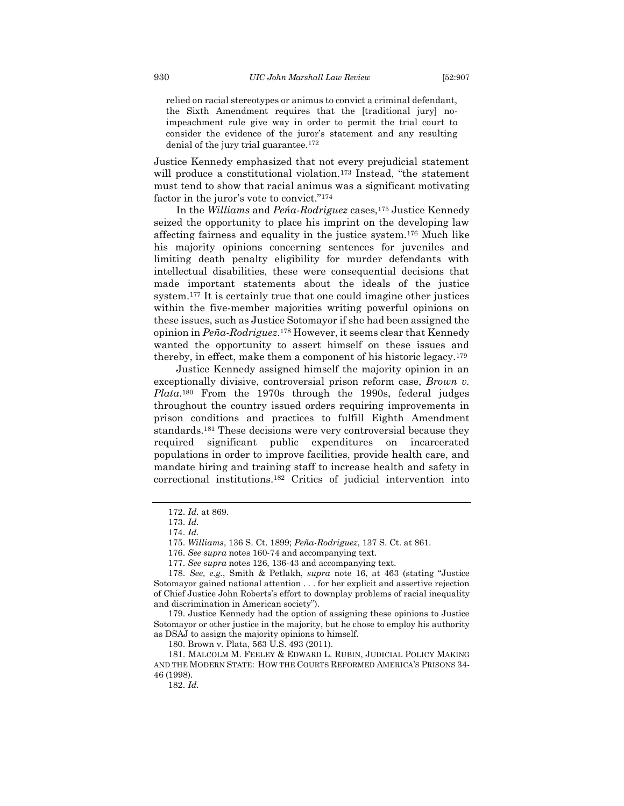relied on racial stereotypes or animus to convict a criminal defendant, the Sixth Amendment requires that the [traditional jury] noimpeachment rule give way in order to permit the trial court to consider the evidence of the juror's statement and any resulting denial of the jury trial guarantee.<sup>172</sup>

Justice Kennedy emphasized that not every prejudicial statement will produce a constitutional violation.<sup>173</sup> Instead, "the statement must tend to show that racial animus was a significant motivating factor in the juror's vote to convict."<sup>174</sup>

In the *Williams* and *Peńa-Rodriguez* cases,<sup>175</sup> Justice Kennedy seized the opportunity to place his imprint on the developing law affecting fairness and equality in the justice system.<sup>176</sup> Much like his majority opinions concerning sentences for juveniles and limiting death penalty eligibility for murder defendants with intellectual disabilities, these were consequential decisions that made important statements about the ideals of the justice system.<sup>177</sup> It is certainly true that one could imagine other justices within the five-member majorities writing powerful opinions on these issues, such as Justice Sotomayor if she had been assigned the opinion in *Peña-Rodriguez*. <sup>178</sup> However, it seems clear that Kennedy wanted the opportunity to assert himself on these issues and thereby, in effect, make them a component of his historic legacy.<sup>179</sup>

Justice Kennedy assigned himself the majority opinion in an exceptionally divisive, controversial prison reform case, *Brown v. Plata*. <sup>180</sup> From the 1970s through the 1990s, federal judges throughout the country issued orders requiring improvements in prison conditions and practices to fulfill Eighth Amendment standards.<sup>181</sup> These decisions were very controversial because they required significant public expenditures on incarcerated populations in order to improve facilities, provide health care, and mandate hiring and training staff to increase health and safety in correctional institutions.<sup>182</sup> Critics of judicial intervention into

176. *See supra* note[s 160-](#page-23-0)74 and accompanying text.

179. Justice Kennedy had the option of assigning these opinions to Justice Sotomayor or other justice in the majority, but he chose to employ his authority as DSAJ to assign the majority opinions to himself.

180. Brown v. Plata, 563 U.S. 493 (2011).

181. MALCOLM M. FEELEY & EDWARD L. RUBIN, JUDICIAL POLICY MAKING AND THE MODERN STATE: HOW THE COURTS REFORMED AMERICA'S PRISONS 34- 46 (1998).

182. *Id.*

<sup>172.</sup> *Id.* at 869.

<sup>173.</sup> *Id.*

<sup>174.</sup> *Id.*

<sup>175.</sup> *Williams*, 136 S. Ct. 1899; *Peña-Rodriguez*, 137 S. Ct. at 861.

<sup>177.</sup> *See supra* note[s 126,](#page-19-1) [136-](#page-20-0)43 and accompanying text.

<sup>178.</sup> *See, e.g.*, Smith & Petlakh, *supra* note [16](#page-3-4), at 463 (stating "Justice Sotomayor gained national attention . . . for her explicit and assertive rejection of Chief Justice John Roberts's effort to downplay problems of racial inequality and discrimination in American society").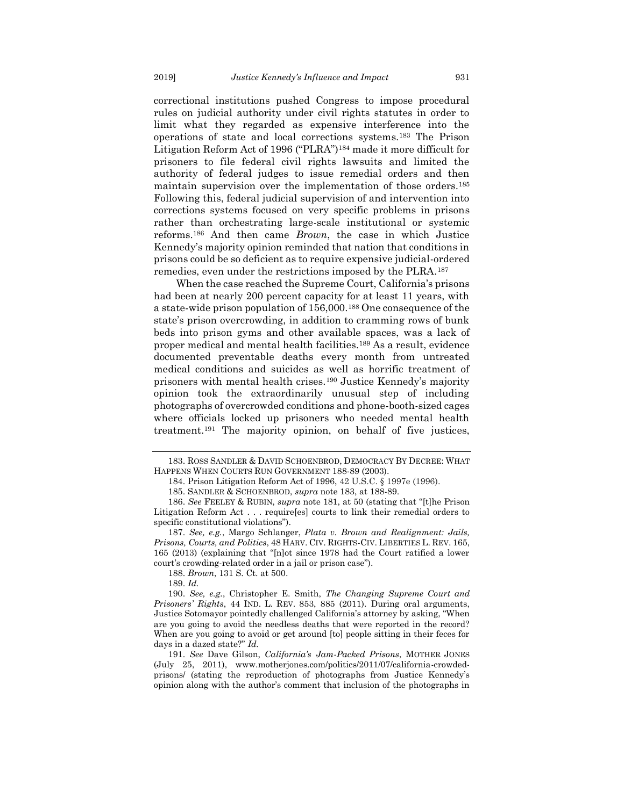correctional institutions pushed Congress to impose procedural rules on judicial authority under civil rights statutes in order to limit what they regarded as expensive interference into the operations of state and local corrections systems.<sup>183</sup> The Prison Litigation Reform Act of 1996 ("PLRA")<sup>184</sup> made it more difficult for prisoners to file federal civil rights lawsuits and limited the authority of federal judges to issue remedial orders and then maintain supervision over the implementation of those orders.<sup>185</sup> Following this, federal judicial supervision of and intervention into corrections systems focused on very specific problems in prisons rather than orchestrating large-scale institutional or systemic reforms.<sup>186</sup> And then came *Brown*, the case in which Justice Kennedy's majority opinion reminded that nation that conditions in prisons could be so deficient as to require expensive judicial-ordered remedies, even under the restrictions imposed by the PLRA.<sup>187</sup>

When the case reached the Supreme Court, California's prisons had been at nearly 200 percent capacity for at least 11 years, with a state-wide prison population of 156,000.<sup>188</sup> One consequence of the state's prison overcrowding, in addition to cramming rows of bunk beds into prison gyms and other available spaces, was a lack of proper medical and mental health facilities.<sup>189</sup> As a result, evidence documented preventable deaths every month from untreated medical conditions and suicides as well as horrific treatment of prisoners with mental health crises.<sup>190</sup> Justice Kennedy's majority opinion took the extraordinarily unusual step of including photographs of overcrowded conditions and phone-booth-sized cages where officials locked up prisoners who needed mental health treatment.<sup>191</sup> The majority opinion, on behalf of five justices,

188. *Brown*, 131 S. Ct. at 500.

189. *Id.*

190. *See, e.g.*, Christopher E. Smith, *The Changing Supreme Court and Prisoners' Rights*, 44 IND. L. REV. 853, 885 (2011). During oral arguments, Justice Sotomayor pointedly challenged California's attorney by asking, "When are you going to avoid the needless deaths that were reported in the record? When are you going to avoid or get around [to] people sitting in their feces for days in a dazed state?" *Id.*

191. *See* Dave Gilson, *California's Jam-Packed Prisons*, MOTHER JONES (July 25, 2011), www.motherjones.com/politics/2011/07/california-crowdedprisons/ (stating the reproduction of photographs from Justice Kennedy's opinion along with the author's comment that inclusion of the photographs in

<sup>183.</sup> ROSS SANDLER & DAVID SCHOENBROD, DEMOCRACY BY DECREE: WHAT HAPPENS WHEN COURTS RUN GOVERNMENT 188-89 (2003).

<sup>184.</sup> Prison Litigation Reform Act of 1996, 42 U.S.C. § 1997e (1996).

<sup>185.</sup> SANDLER & SCHOENBROD, *supra* note 183, at 188-89.

<sup>186.</sup> *See* FEELEY & RUBIN, *supra* note 181, at 50 (stating that "[t]he Prison Litigation Reform Act . . . require[es] courts to link their remedial orders to specific constitutional violations").

<sup>187.</sup> *See, e.g.*, Margo Schlanger, *Plata v. Brown and Realignment: Jails, Prisons, Courts, and Politics*, 48 HARV. CIV. RIGHTS-CIV. LIBERTIES L. REV. 165, 165 (2013) (explaining that "[n]ot since 1978 had the Court ratified a lower court's crowding-related order in a jail or prison case").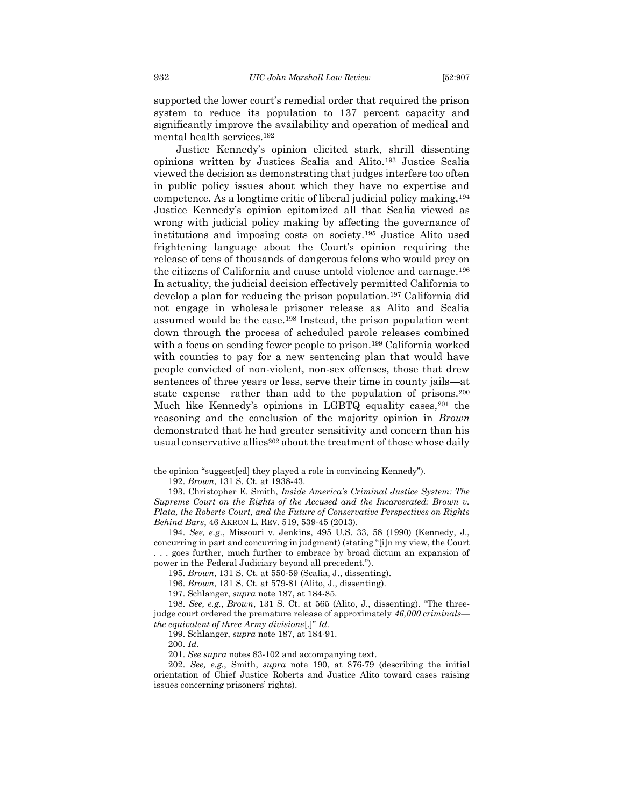supported the lower court's remedial order that required the prison system to reduce its population to 137 percent capacity and significantly improve the availability and operation of medical and mental health services.<sup>192</sup>

Justice Kennedy's opinion elicited stark, shrill dissenting opinions written by Justices Scalia and Alito.<sup>193</sup> Justice Scalia viewed the decision as demonstrating that judges interfere too often in public policy issues about which they have no expertise and competence. As a longtime critic of liberal judicial policy making,<sup>194</sup> Justice Kennedy's opinion epitomized all that Scalia viewed as wrong with judicial policy making by affecting the governance of institutions and imposing costs on society.<sup>195</sup> Justice Alito used frightening language about the Court's opinion requiring the release of tens of thousands of dangerous felons who would prey on the citizens of California and cause untold violence and carnage.<sup>196</sup> In actuality, the judicial decision effectively permitted California to develop a plan for reducing the prison population.<sup>197</sup> California did not engage in wholesale prisoner release as Alito and Scalia assumed would be the case.<sup>198</sup> Instead, the prison population went down through the process of scheduled parole releases combined with a focus on sending fewer people to prison.<sup>199</sup> California worked with counties to pay for a new sentencing plan that would have people convicted of non-violent, non-sex offenses, those that drew sentences of three years or less, serve their time in county jails—at state expense—rather than add to the population of prisons.<sup>200</sup> Much like Kennedy's opinions in LGBTQ equality cases, <sup>201</sup> the reasoning and the conclusion of the majority opinion in *Brown*  demonstrated that he had greater sensitivity and concern than his usual conservative allies<sup>202</sup> about the treatment of those whose daily

the opinion "suggest[ed] they played a role in convincing Kennedy"). 192. *Brown*, 131 S. Ct. at 1938-43.

<sup>193.</sup> Christopher E. Smith, *Inside America's Criminal Justice System: The Supreme Court on the Rights of the Accused and the Incarcerated: Brown v. Plata, the Roberts Court, and the Future of Conservative Perspectives on Rights Behind Bars*, 46 AKRON L. REV. 519, 539-45 (2013).

<sup>194.</sup> *See, e.g.*, Missouri v. Jenkins, 495 U.S. 33, 58 (1990) (Kennedy, J., concurring in part and concurring in judgment) (stating "[i]n my view, the Court . . . goes further, much further to embrace by broad dictum an expansion of power in the Federal Judiciary beyond all precedent.").

<sup>195.</sup> *Brown*, 131 S. Ct. at 550-59 (Scalia, J., dissenting).

<sup>196.</sup> *Brown*, 131 S. Ct. at 579-81 (Alito, J., dissenting).

<sup>197.</sup> Schlanger, *supra* note 187, at 184-85.

<sup>198.</sup> *See, e.g.*, *Brown*, 131 S. Ct. at 565 (Alito, J., dissenting). "The threejudge court ordered the premature release of approximately *46,000 criminals the equivalent of three Army divisions*[.]" *Id.*

<sup>199.</sup> Schlanger, *supra* note 187, at 184-91.

<sup>200.</sup> *Id.*

<sup>201.</sup> *See supra* notes 83[-102](#page-16-1) and accompanying text.

<sup>202.</sup> *See, e.g.*, Smith, *supra* note 190, at 876-79 (describing the initial orientation of Chief Justice Roberts and Justice Alito toward cases raising issues concerning prisoners' rights).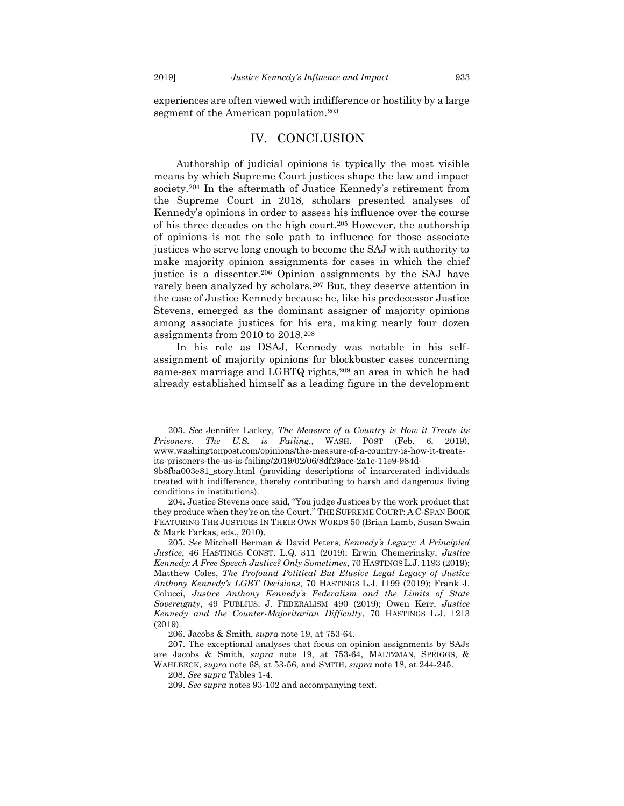experiences are often viewed with indifference or hostility by a large segment of the American population.<sup>203</sup>

#### IV. CONCLUSION

<span id="page-27-0"></span>Authorship of judicial opinions is typically the most visible means by which Supreme Court justices shape the law and impact society.<sup>204</sup> In the aftermath of Justice Kennedy's retirement from the Supreme Court in 2018, scholars presented analyses of Kennedy's opinions in order to assess his influence over the course of his three decades on the high court.<sup>205</sup> However, the authorship of opinions is not the sole path to influence for those associate justices who serve long enough to become the SAJ with authority to make majority opinion assignments for cases in which the chief justice is a dissenter.<sup>206</sup> Opinion assignments by the SAJ have rarely been analyzed by scholars.<sup>207</sup> But, they deserve attention in the case of Justice Kennedy because he, like his predecessor Justice Stevens, emerged as the dominant assigner of majority opinions among associate justices for his era, making nearly four dozen assignments from 2010 to 2018.<sup>208</sup>

In his role as DSAJ, Kennedy was notable in his selfassignment of majority opinions for blockbuster cases concerning same-sex marriage and LGBTQ rights,<sup>209</sup> an area in which he had already established himself as a leading figure in the development

<sup>203.</sup> *See* Jennifer Lackey, *The Measure of a Country is How it Treats its Prisoners. The U.S. is Failing*., WASH. POST (Feb. 6, 2019), www.washingtonpost.com/opinions/the-measure-of-a-country-is-how-it-treatsits-prisoners-the-us-is-failing/2019/02/06/8df29acc-2a1c-11e9-984d-

<sup>9</sup>b8fba003e81\_story.html (providing descriptions of incarcerated individuals treated with indifference, thereby contributing to harsh and dangerous living conditions in institutions).

<sup>204.</sup> Justice Stevens once said, "You judge Justices by the work product that they produce when they're on the Court." THE SUPREME COURT: A C-SPAN BOOK FEATURING THE JUSTICES IN THEIR OWN WORDS 50 (Brian Lamb, Susan Swain & Mark Farkas, eds., 2010).

<sup>205.</sup> *See* Mitchell Berman & David Peters, *Kennedy's Legacy: A Principled Justice*, 46 HASTINGS CONST. L.Q. 311 (2019); Erwin Chemerinsky, *Justice Kennedy: A Free Speech Justice? Only Sometimes*, 70 HASTINGS L.J. 1193 (2019); Matthew Coles, *The Profound Political But Elusive Legal Legacy of Justice Anthony Kennedy's LGBT Decisions*, 70 HASTINGS L.J. 1199 (2019); Frank J. Colucci, *Justice Anthony Kennedy's Federalism and the Limits of State Sovereignty*, 49 PUBLIUS: J. FEDERALISM 490 (2019); Owen Kerr, *Justice Kennedy and the Counter-Majoritarian Difficulty*, 70 HASTINGS L.J. 1213 (2019).

<sup>206.</sup> Jacobs & Smith, *supra* not[e 19,](#page-3-0) at 753-64.

<sup>207.</sup> The exceptional analyses that focus on opinion assignments by SAJs are Jacobs & Smith, *supra* note [19,](#page-3-0) at 753-64, MALTZMAN, SPRIGGS, & WAHLBECK, *supra* note 68, at 53-56, and SMITH, *supra* note [18,](#page-3-5) at 244-245.

<sup>208.</sup> *See supra* Tables 1-4.

<sup>209.</sup> *See supra* note[s 93-](#page-15-0)102 and accompanying text.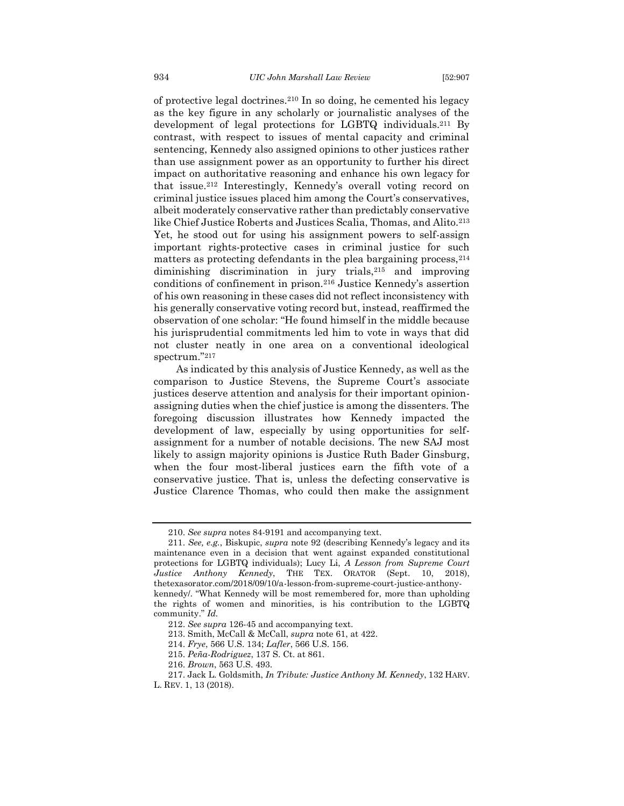of protective legal doctrines.<sup>210</sup> In so doing, he cemented his legacy as the key figure in any scholarly or journalistic analyses of the development of legal protections for LGBTQ individuals.<sup>211</sup> By contrast, with respect to issues of mental capacity and criminal sentencing, Kennedy also assigned opinions to other justices rather than use assignment power as an opportunity to further his direct impact on authoritative reasoning and enhance his own legacy for that issue.<sup>212</sup> Interestingly, Kennedy's overall voting record on criminal justice issues placed him among the Court's conservatives, albeit moderately conservative rather than predictably conservative like Chief Justice Roberts and Justices Scalia, Thomas, and Alito.<sup>213</sup> Yet, he stood out for using his assignment powers to self-assign important rights-protective cases in criminal justice for such matters as protecting defendants in the plea bargaining process,  $214$ diminishing discrimination in jury trials,<sup>215</sup> and improving conditions of confinement in prison.<sup>216</sup> Justice Kennedy's assertion of his own reasoning in these cases did not reflect inconsistency with his generally conservative voting record but, instead, reaffirmed the observation of one scholar: "He found himself in the middle because his jurisprudential commitments led him to vote in ways that did not cluster neatly in one area on a conventional ideological spectrum."<sup>217</sup>

As indicated by this analysis of Justice Kennedy, as well as the comparison to Justice Stevens, the Supreme Court's associate justices deserve attention and analysis for their important opinionassigning duties when the chief justice is among the dissenters. The foregoing discussion illustrates how Kennedy impacted the development of law, especially by using opportunities for selfassignment for a number of notable decisions. The new SAJ most likely to assign majority opinions is Justice Ruth Bader Ginsburg, when the four most-liberal justices earn the fifth vote of a conservative justice. That is, unless the defecting conservative is Justice Clarence Thomas, who could then make the assignment

<sup>210.</sup> *See supra* notes 84-9[191](#page-15-1) and accompanying text.

<sup>211.</sup> *See, e.g.*, Biskupic, *supra* note 92 (describing Kennedy's legacy and its maintenance even in a decision that went against expanded constitutional protections for LGBTQ individuals); Lucy Li, *A Lesson from Supreme Court Justice Anthony Kennedy*, THE TEX. ORATOR (Sept. 10, 2018), thetexasorator.com/2018/09/10/a-lesson-from-supreme-court-justice-anthonykennedy/. "What Kennedy will be most remembered for, more than upholding the rights of women and minorities, is his contribution to the LGBTQ community." *Id.*

<sup>212.</sup> *See supra* [126-](#page-19-1)45 and accompanying text.

<sup>213.</sup> Smith, McCall & McCall, *supra* note 61, at 422.

<sup>214.</sup> *Frye*, 566 U.S. 134; *Lafler*, 566 U.S. 156.

<sup>215.</sup> *Peña-Rodriguez*, 137 S. Ct. at 861.

<sup>216.</sup> *Brown*, 563 U.S. 493.

<sup>217.</sup> Jack L. Goldsmith, *In Tribute: Justice Anthony M. Kennedy*, 132 HARV. L. REV. 1, 13 (2018).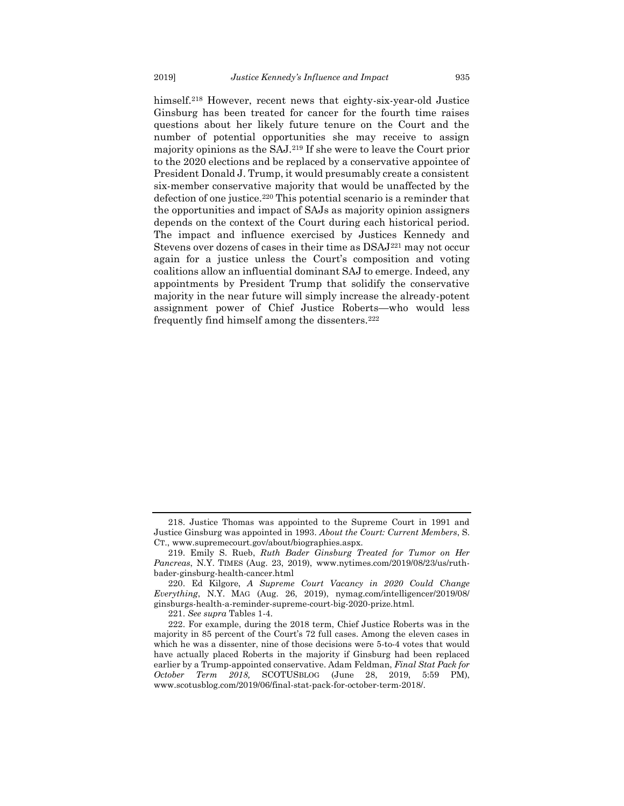himself.<sup>218</sup> However, recent news that eighty-six-year-old Justice Ginsburg has been treated for cancer for the fourth time raises questions about her likely future tenure on the Court and the number of potential opportunities she may receive to assign majority opinions as the SAJ.<sup>219</sup> If she were to leave the Court prior to the 2020 elections and be replaced by a conservative appointee of President Donald J. Trump, it would presumably create a consistent six-member conservative majority that would be unaffected by the defection of one justice.<sup>220</sup> This potential scenario is a reminder that the opportunities and impact of SAJs as majority opinion assigners depends on the context of the Court during each historical period. The impact and influence exercised by Justices Kennedy and Stevens over dozens of cases in their time as DSAJ<sup>221</sup> may not occur again for a justice unless the Court's composition and voting coalitions allow an influential dominant SAJ to emerge. Indeed, any appointments by President Trump that solidify the conservative majority in the near future will simply increase the already-potent assignment power of Chief Justice Roberts—who would less frequently find himself among the dissenters.<sup>222</sup>

221. *See supra* Tables 1-4.

<sup>218.</sup> Justice Thomas was appointed to the Supreme Court in 1991 and Justice Ginsburg was appointed in 1993. *About the Court: Current Members*, S. CT., www.supremecourt.gov/about/biographies.aspx.

<sup>219.</sup> Emily S. Rueb, *Ruth Bader Ginsburg Treated for Tumor on Her Pancreas*, N.Y. TIMES (Aug. 23, 2019), www.nytimes.com/2019/08/23/us/ruthbader-ginsburg-health-cancer.html

<sup>220.</sup> Ed Kilgore, *A Supreme Court Vacancy in 2020 Could Change Everything*, N.Y. MAG (Aug. 26, 2019), nymag.com/intelligencer/2019/08/ ginsburgs-health-a-reminder-supreme-court-big-2020-prize.html.

<sup>222.</sup> For example, during the 2018 term, Chief Justice Roberts was in the majority in 85 percent of the Court's 72 full cases. Among the eleven cases in which he was a dissenter, nine of those decisions were 5-to-4 votes that would have actually placed Roberts in the majority if Ginsburg had been replaced earlier by a Trump-appointed conservative. Adam Feldman, *Final Stat Pack for October Term 2018,* SCOTUSBLOG (June 28, 2019, 5:59 PM), www.scotusblog.com/2019/06/final-stat-pack-for-october-term-2018/.